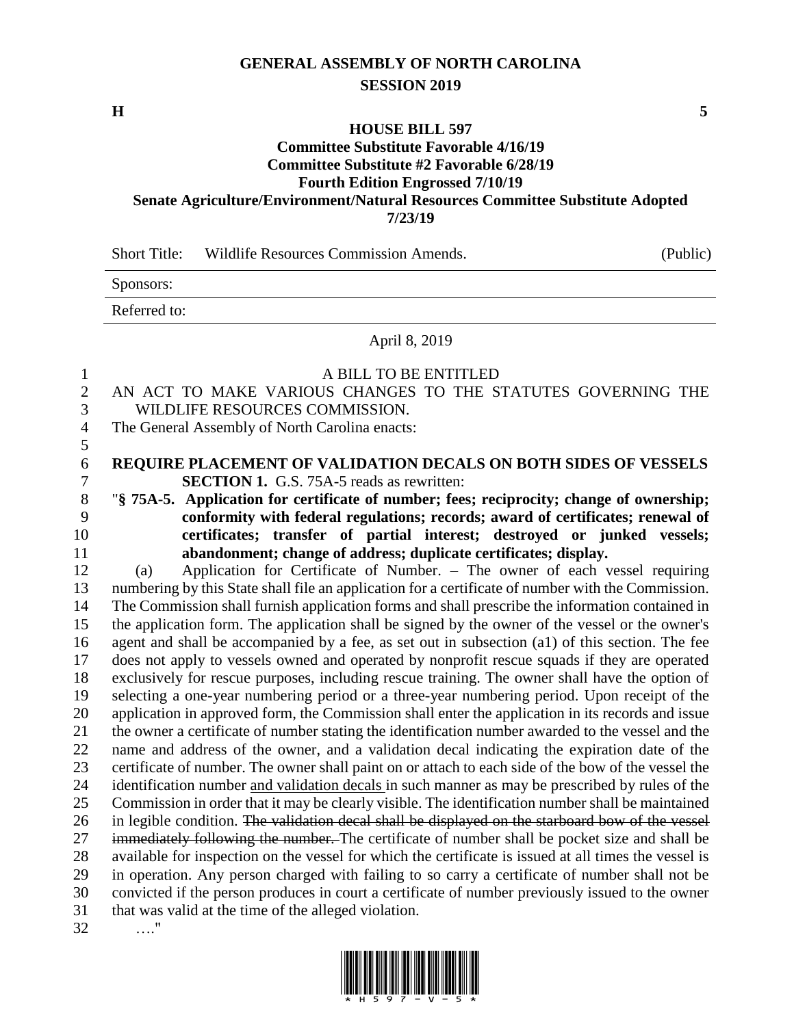## **GENERAL ASSEMBLY OF NORTH CAROLINA SESSION 2019**

**H 5**

#### **HOUSE BILL 597**

#### **Committee Substitute Favorable 4/16/19 Committee Substitute #2 Favorable 6/28/19**

### **Fourth Edition Engrossed 7/10/19 Senate Agriculture/Environment/Natural Resources Committee Substitute Adopted**

**7/23/19**

| <b>Short Title:</b> | Wildlife Resources Commission Amends. | (Public) |
|---------------------|---------------------------------------|----------|
|---------------------|---------------------------------------|----------|

| Sponsors:              |  |  |
|------------------------|--|--|
| Referred to<br>www.cu. |  |  |

### April 8, 2019

### A BILL TO BE ENTITLED AN ACT TO MAKE VARIOUS CHANGES TO THE STATUTES GOVERNING THE WILDLIFE RESOURCES COMMISSION. The General Assembly of North Carolina enacts: **REQUIRE PLACEMENT OF VALIDATION DECALS ON BOTH SIDES OF VESSELS SECTION 1.** G.S. 75A-5 reads as rewritten: "**§ 75A-5. Application for certificate of number; fees; reciprocity; change of ownership; conformity with federal regulations; records; award of certificates; renewal of certificates; transfer of partial interest; destroyed or junked vessels; abandonment; change of address; duplicate certificates; display.** (a) Application for Certificate of Number. – The owner of each vessel requiring numbering by this State shall file an application for a certificate of number with the Commission. The Commission shall furnish application forms and shall prescribe the information contained in the application form. The application shall be signed by the owner of the vessel or the owner's agent and shall be accompanied by a fee, as set out in subsection (a1) of this section. The fee does not apply to vessels owned and operated by nonprofit rescue squads if they are operated exclusively for rescue purposes, including rescue training. The owner shall have the option of selecting a one-year numbering period or a three-year numbering period. Upon receipt of the application in approved form, the Commission shall enter the application in its records and issue the owner a certificate of number stating the identification number awarded to the vessel and the name and address of the owner, and a validation decal indicating the expiration date of the certificate of number. The owner shall paint on or attach to each side of the bow of the vessel the identification number and validation decals in such manner as may be prescribed by rules of the Commission in order that it may be clearly visible. The identification number shall be maintained 26 in legible condition. The validation decal shall be displayed on the starboard bow of the vessel 27 immediately following the number. The certificate of number shall be pocket size and shall be available for inspection on the vessel for which the certificate is issued at all times the vessel is in operation. Any person charged with failing to so carry a certificate of number shall not be convicted if the person produces in court a certificate of number previously issued to the owner that was valid at the time of the alleged violation. …."

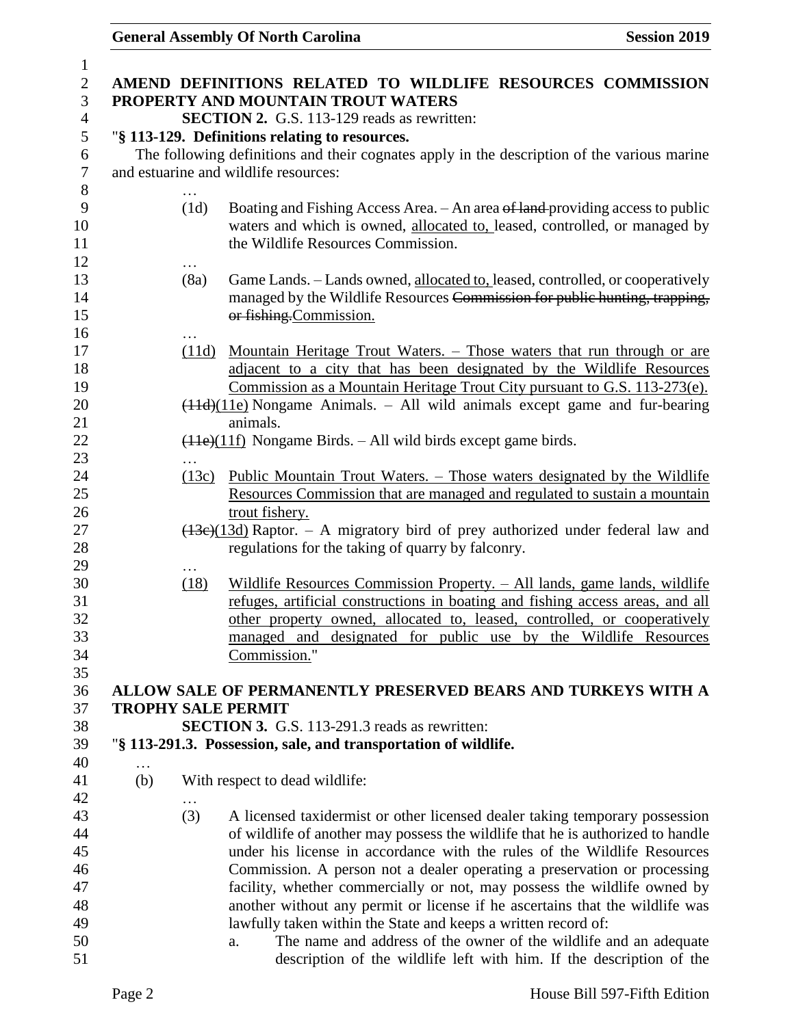| $\mathbf{1}$<br>$\overline{2}$ |     |           | AMEND DEFINITIONS RELATED TO WILDLIFE RESOURCES COMMISSION                                                                                                                                        |
|--------------------------------|-----|-----------|---------------------------------------------------------------------------------------------------------------------------------------------------------------------------------------------------|
| 3                              |     |           | PROPERTY AND MOUNTAIN TROUT WATERS                                                                                                                                                                |
| $\overline{4}$                 |     |           | <b>SECTION 2.</b> G.S. 113-129 reads as rewritten:                                                                                                                                                |
| 5<br>6                         |     |           | "§ 113-129. Definitions relating to resources.<br>The following definitions and their cognates apply in the description of the various marine                                                     |
| $\tau$                         |     |           | and estuarine and wildlife resources:                                                                                                                                                             |
| 8                              |     |           |                                                                                                                                                                                                   |
| 9<br>10<br>11                  |     | (1d)      | Boating and Fishing Access Area. - An area of land-providing access to public<br>waters and which is owned, allocated to, leased, controlled, or managed by<br>the Wildlife Resources Commission. |
| 12<br>13                       |     | .<br>(8a) | Game Lands. - Lands owned, allocated to, leased, controlled, or cooperatively                                                                                                                     |
| 14                             |     |           | managed by the Wildlife Resources Commission for public hunting, trapping,                                                                                                                        |
| 15<br>16                       |     |           | or fishing.Commission.                                                                                                                                                                            |
| 17                             |     | (11d)     | Mountain Heritage Trout Waters. – Those waters that run through or are                                                                                                                            |
| 18                             |     |           | adjacent to a city that has been designated by the Wildlife Resources                                                                                                                             |
| 19                             |     |           | Commission as a Mountain Heritage Trout City pursuant to G.S. 113-273(e).                                                                                                                         |
| 20<br>21                       |     |           | $(11d)(11e)$ Nongame Animals. – All wild animals except game and fur-bearing<br>animals.                                                                                                          |
| 22                             |     |           | $(11e)(11f)$ Nongame Birds. – All wild birds except game birds.                                                                                                                                   |
| 23                             |     | .         |                                                                                                                                                                                                   |
| 24                             |     | (13c)     | <u> Public Mountain Trout Waters. – Those waters designated by the Wildlife</u>                                                                                                                   |
| 25                             |     |           | Resources Commission that are managed and regulated to sustain a mountain                                                                                                                         |
| 26                             |     |           | trout fishery.                                                                                                                                                                                    |
| 27                             |     |           | $(13e)(13d)$ Raptor. – A migratory bird of prey authorized under federal law and                                                                                                                  |
| 28                             |     |           | regulations for the taking of quarry by falconry.                                                                                                                                                 |
| 29                             |     |           |                                                                                                                                                                                                   |
| 30                             |     | (18)      | Wildlife Resources Commission Property. - All lands, game lands, wildlife                                                                                                                         |
| 31                             |     |           | refuges, artificial constructions in boating and fishing access areas, and all                                                                                                                    |
| 32                             |     |           | other property owned, allocated to, leased, controlled, or cooperatively                                                                                                                          |
| 33                             |     |           | managed and designated for public use by the Wildlife Resources                                                                                                                                   |
| 34                             |     |           | Commission."                                                                                                                                                                                      |
| 35<br>36                       |     |           | ALLOW SALE OF PERMANENTLY PRESERVED BEARS AND TURKEYS WITH A                                                                                                                                      |
| 37                             |     |           | <b>TROPHY SALE PERMIT</b>                                                                                                                                                                         |
| 38                             |     |           | <b>SECTION 3.</b> G.S. 113-291.3 reads as rewritten:                                                                                                                                              |
| 39                             |     |           | "§ 113-291.3. Possession, sale, and transportation of wildlife.                                                                                                                                   |
| 40                             | .   |           |                                                                                                                                                                                                   |
| 41<br>42                       | (b) | $\cdots$  | With respect to dead wildlife:                                                                                                                                                                    |
| 43                             |     | (3)       | A licensed taxidermist or other licensed dealer taking temporary possession                                                                                                                       |
| 44                             |     |           | of wildlife of another may possess the wildlife that he is authorized to handle                                                                                                                   |
| 45                             |     |           | under his license in accordance with the rules of the Wildlife Resources                                                                                                                          |
| 46                             |     |           | Commission. A person not a dealer operating a preservation or processing                                                                                                                          |
| 47                             |     |           | facility, whether commercially or not, may possess the wildlife owned by                                                                                                                          |
| 48                             |     |           | another without any permit or license if he ascertains that the wildlife was                                                                                                                      |
| 49                             |     |           | lawfully taken within the State and keeps a written record of:                                                                                                                                    |
| 50                             |     |           | The name and address of the owner of the wildlife and an adequate<br>a.                                                                                                                           |
| 51                             |     |           | description of the wildlife left with him. If the description of the                                                                                                                              |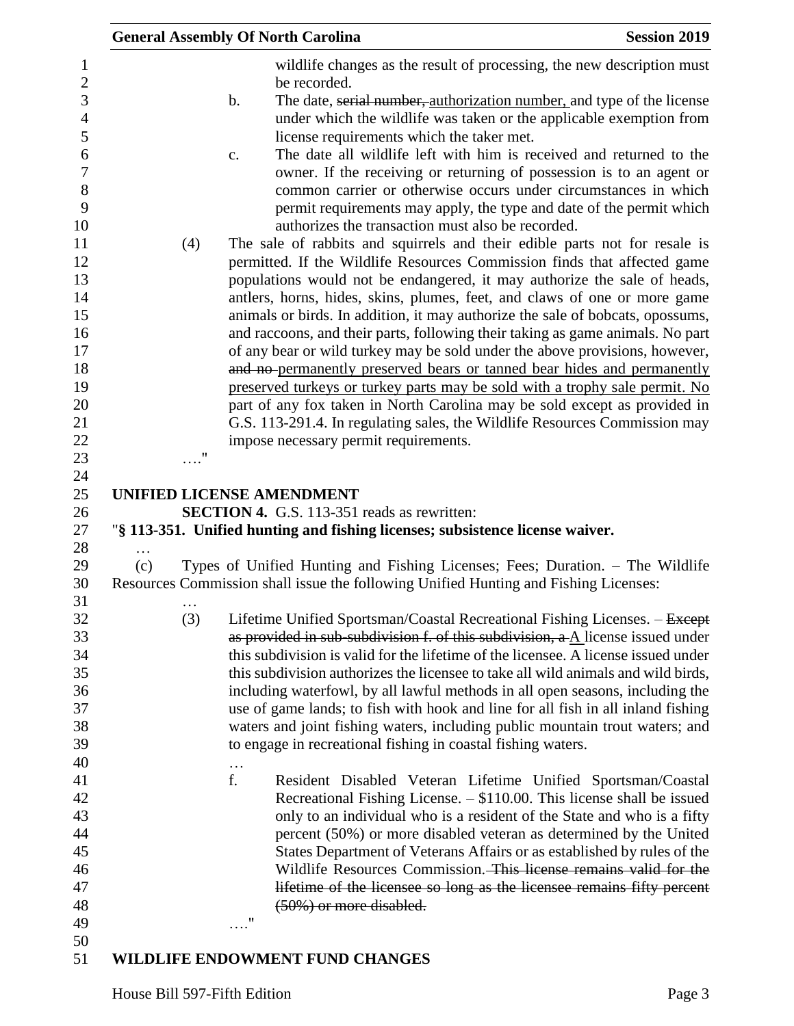|     |            | <b>General Assembly Of North Carolina</b>                                                                                                                              | <b>Session 2019</b> |
|-----|------------|------------------------------------------------------------------------------------------------------------------------------------------------------------------------|---------------------|
|     |            | wildlife changes as the result of processing, the new description must<br>be recorded.<br>The date, serial number, authorization number, and type of the license<br>b. |                     |
|     |            | under which the wildlife was taken or the applicable exemption from                                                                                                    |                     |
|     |            | license requirements which the taker met.<br>The date all wildlife left with him is received and returned to the                                                       |                     |
|     |            | c.<br>owner. If the receiving or returning of possession is to an agent or                                                                                             |                     |
|     |            | common carrier or otherwise occurs under circumstances in which                                                                                                        |                     |
|     |            | permit requirements may apply, the type and date of the permit which                                                                                                   |                     |
|     |            | authorizes the transaction must also be recorded.                                                                                                                      |                     |
|     | (4)        | The sale of rabbits and squirrels and their edible parts not for resale is<br>permitted. If the Wildlife Resources Commission finds that affected game                 |                     |
|     |            | populations would not be endangered, it may authorize the sale of heads,                                                                                               |                     |
|     |            | antlers, horns, hides, skins, plumes, feet, and claws of one or more game                                                                                              |                     |
|     |            | animals or birds. In addition, it may authorize the sale of bobcats, opossums,                                                                                         |                     |
|     |            | and raccoons, and their parts, following their taking as game animals. No part                                                                                         |                     |
|     |            | of any bear or wild turkey may be sold under the above provisions, however,                                                                                            |                     |
|     |            | and no-permanently preserved bears or tanned bear hides and permanently                                                                                                |                     |
|     |            | preserved turkeys or turkey parts may be sold with a trophy sale permit. No<br>part of any fox taken in North Carolina may be sold except as provided in               |                     |
|     |            | G.S. 113-291.4. In regulating sales, the Wildlife Resources Commission may                                                                                             |                     |
|     |            | impose necessary permit requirements.                                                                                                                                  |                     |
|     | $\ldots$ " |                                                                                                                                                                        |                     |
|     |            |                                                                                                                                                                        |                     |
|     |            | <b>UNIFIED LICENSE AMENDMENT</b>                                                                                                                                       |                     |
|     |            | <b>SECTION 4.</b> G.S. 113-351 reads as rewritten:<br>"§ 113-351. Unified hunting and fishing licenses; subsistence license waiver.                                    |                     |
|     |            |                                                                                                                                                                        |                     |
| (c) |            | Types of Unified Hunting and Fishing Licenses; Fees; Duration. - The Wildlife                                                                                          |                     |
|     | $\cdots$   | Resources Commission shall issue the following Unified Hunting and Fishing Licenses:                                                                                   |                     |
|     | (3)        | Lifetime Unified Sportsman/Coastal Recreational Fishing Licenses. - Except                                                                                             |                     |
|     |            | as provided in sub-subdivision f. of this subdivision, a A license issued under                                                                                        |                     |
|     |            | this subdivision is valid for the lifetime of the licensee. A license issued under                                                                                     |                     |
|     |            | this subdivision authorizes the licensee to take all wild animals and wild birds,                                                                                      |                     |
|     |            | including waterfowl, by all lawful methods in all open seasons, including the<br>use of game lands; to fish with hook and line for all fish in all inland fishing      |                     |
|     |            | waters and joint fishing waters, including public mountain trout waters; and                                                                                           |                     |
|     |            | to engage in recreational fishing in coastal fishing waters.                                                                                                           |                     |
|     |            | $\cdots$                                                                                                                                                               |                     |
|     |            | f.<br>Resident Disabled Veteran Lifetime Unified Sportsman/Coastal                                                                                                     |                     |
|     |            | Recreational Fishing License. $-$ \$110.00. This license shall be issued                                                                                               |                     |
|     |            | only to an individual who is a resident of the State and who is a fifty                                                                                                |                     |
|     |            | percent (50%) or more disabled veteran as determined by the United                                                                                                     |                     |
|     |            | States Department of Veterans Affairs or as established by rules of the                                                                                                |                     |
|     |            | Wildlife Resources Commission. This license remains valid for the<br>lifetime of the licensee so long as the licensee remains fifty percent                            |                     |
|     |            | $(50\%)$ or more disabled.                                                                                                                                             |                     |
|     |            | 11                                                                                                                                                                     |                     |
|     |            |                                                                                                                                                                        |                     |

## **WILDLIFE ENDOWMENT FUND CHANGES**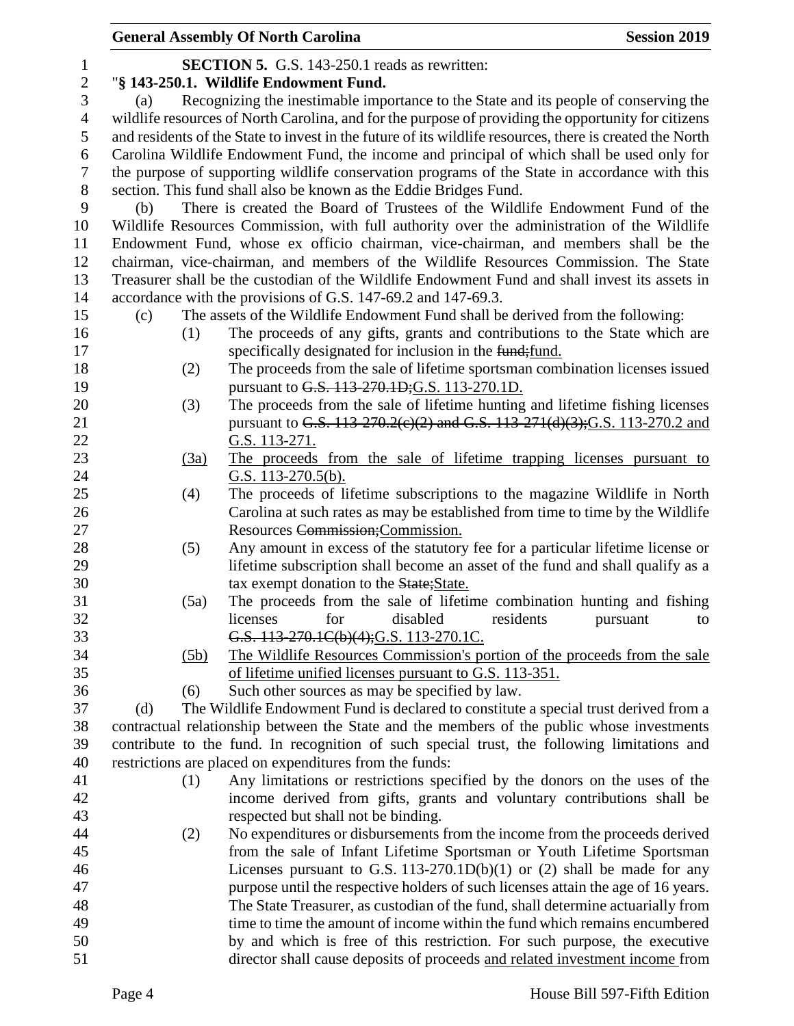|                |      | <b>General Assembly Of North Carolina</b>                                                                | <b>Session 2019</b> |
|----------------|------|----------------------------------------------------------------------------------------------------------|---------------------|
| $\mathbf{1}$   |      | <b>SECTION 5.</b> G.S. 143-250.1 reads as rewritten:                                                     |                     |
| $\overline{c}$ |      | "§ 143-250.1. Wildlife Endowment Fund.                                                                   |                     |
| 3              | (a)  | Recognizing the inestimable importance to the State and its people of conserving the                     |                     |
| $\overline{4}$ |      | wildlife resources of North Carolina, and for the purpose of providing the opportunity for citizens      |                     |
| 5              |      | and residents of the State to invest in the future of its wildlife resources, there is created the North |                     |
| 6              |      | Carolina Wildlife Endowment Fund, the income and principal of which shall be used only for               |                     |
| 7              |      | the purpose of supporting wildlife conservation programs of the State in accordance with this            |                     |
| 8              |      | section. This fund shall also be known as the Eddie Bridges Fund.                                        |                     |
| 9              | (b)  | There is created the Board of Trustees of the Wildlife Endowment Fund of the                             |                     |
| 10             |      | Wildlife Resources Commission, with full authority over the administration of the Wildlife               |                     |
| 11             |      | Endowment Fund, whose ex officio chairman, vice-chairman, and members shall be the                       |                     |
| 12             |      | chairman, vice-chairman, and members of the Wildlife Resources Commission. The State                     |                     |
| 13             |      | Treasurer shall be the custodian of the Wildlife Endowment Fund and shall invest its assets in           |                     |
| 14             |      | accordance with the provisions of G.S. 147-69.2 and 147-69.3.                                            |                     |
| 15             | (c)  | The assets of the Wildlife Endowment Fund shall be derived from the following:                           |                     |
| 16             | (1)  | The proceeds of any gifts, grants and contributions to the State which are                               |                     |
| 17             |      | specifically designated for inclusion in the fund; fund.                                                 |                     |
| 18             | (2)  | The proceeds from the sale of lifetime sportsman combination licenses issued                             |                     |
| 19             |      | pursuant to G.S. 113-270.1D; G.S. 113-270.1D.                                                            |                     |
| 20             | (3)  | The proceeds from the sale of lifetime hunting and lifetime fishing licenses                             |                     |
| 21             |      | pursuant to G.S. 113-270.2(e)(2) and G.S. 113-271(d)(3); G.S. 113-270.2 and                              |                     |
| 22             |      | G.S. 113-271.                                                                                            |                     |
| 23             | (3a) | The proceeds from the sale of lifetime trapping licenses pursuant to                                     |                     |
| 24             |      | G.S. $113-270.5(b)$ .                                                                                    |                     |
| $25\,$         | (4)  | The proceeds of lifetime subscriptions to the magazine Wildlife in North                                 |                     |
| 26             |      | Carolina at such rates as may be established from time to time by the Wildlife                           |                     |
| 27             |      | Resources Commission; Commission.                                                                        |                     |
| 28             | (5)  | Any amount in excess of the statutory fee for a particular lifetime license or                           |                     |
| 29             |      | lifetime subscription shall become an asset of the fund and shall qualify as a                           |                     |
| 30             |      | tax exempt donation to the State; State.                                                                 |                     |
| 31             | (5a) | The proceeds from the sale of lifetime combination hunting and fishing                                   |                     |
| 32             |      | for<br>disabled<br>licenses<br>residents                                                                 | pursuant<br>to      |
| 33             |      | G.S. 113-270.1C(b)(4); G.S. 113-270.1C.                                                                  |                     |
| 34             | (5b) | The Wildlife Resources Commission's portion of the proceeds from the sale                                |                     |
| 35             |      | of lifetime unified licenses pursuant to G.S. 113-351.                                                   |                     |
| 36             | (6)  | Such other sources as may be specified by law.                                                           |                     |
| 37             | (d)  | The Wildlife Endowment Fund is declared to constitute a special trust derived from a                     |                     |
| 38             |      | contractual relationship between the State and the members of the public whose investments               |                     |
| 39             |      | contribute to the fund. In recognition of such special trust, the following limitations and              |                     |
| 40             |      | restrictions are placed on expenditures from the funds:                                                  |                     |
| 41             | (1)  | Any limitations or restrictions specified by the donors on the uses of the                               |                     |
| 42             |      | income derived from gifts, grants and voluntary contributions shall be                                   |                     |
| 43             |      | respected but shall not be binding.                                                                      |                     |
| 44             | (2)  | No expenditures or disbursements from the income from the proceeds derived                               |                     |
| 45             |      | from the sale of Infant Lifetime Sportsman or Youth Lifetime Sportsman                                   |                     |
| 46             |      | Licenses pursuant to G.S. 113-270.1D(b)(1) or (2) shall be made for any                                  |                     |
| 47             |      | purpose until the respective holders of such licenses attain the age of 16 years.                        |                     |
| 48             |      | The State Treasurer, as custodian of the fund, shall determine actuarially from                          |                     |
| 49             |      | time to time the amount of income within the fund which remains encumbered                               |                     |
| 50             |      | by and which is free of this restriction. For such purpose, the executive                                |                     |
| 51             |      | director shall cause deposits of proceeds and related investment income from                             |                     |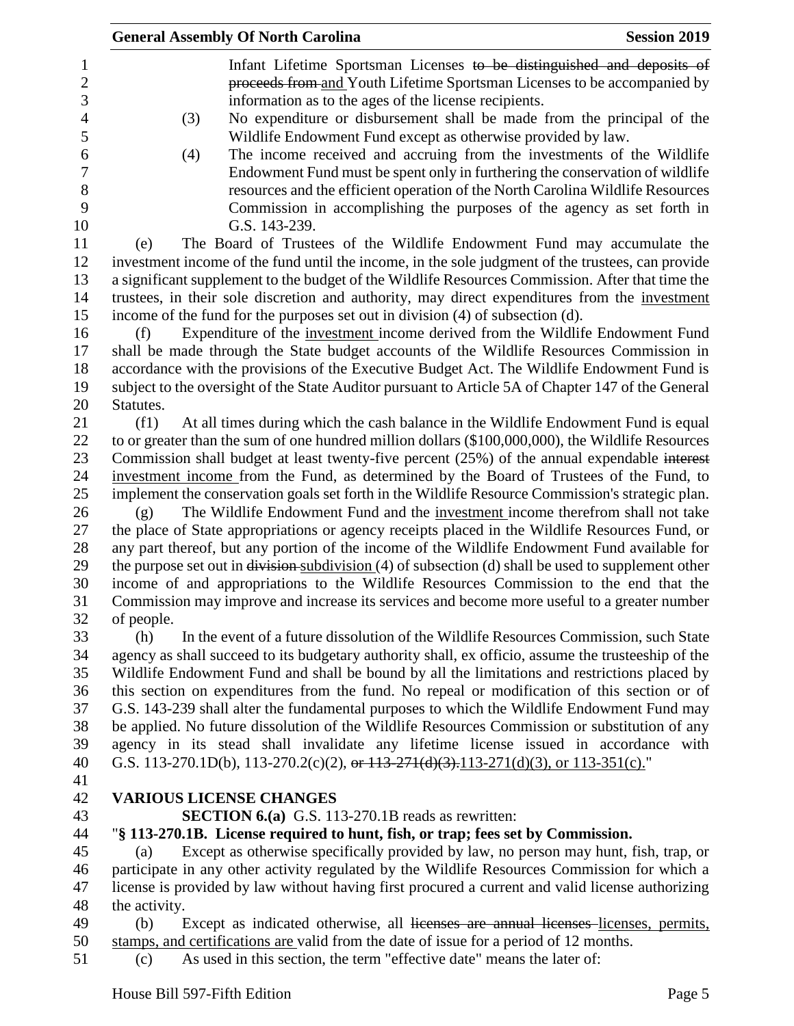|                          | <b>General Assembly Of North Carolina</b>                                                                                                                                                                   | <b>Session 2019</b> |
|--------------------------|-------------------------------------------------------------------------------------------------------------------------------------------------------------------------------------------------------------|---------------------|
| 1<br>$\overline{c}$<br>3 | Infant Lifetime Sportsman Licenses to be distinguished and deposits of<br>proceeds from and Youth Lifetime Sportsman Licenses to be accompanied by<br>information as to the ages of the license recipients. |                     |
| $\overline{4}$           | No expenditure or disbursement shall be made from the principal of the<br>(3)                                                                                                                               |                     |
| 5                        | Wildlife Endowment Fund except as otherwise provided by law.                                                                                                                                                |                     |
| 6                        | The income received and accruing from the investments of the Wildlife<br>(4)                                                                                                                                |                     |
| 7                        | Endowment Fund must be spent only in furthering the conservation of wildlife                                                                                                                                |                     |
| 8                        | resources and the efficient operation of the North Carolina Wildlife Resources                                                                                                                              |                     |
| 9                        | Commission in accomplishing the purposes of the agency as set forth in                                                                                                                                      |                     |
| 10<br>11                 | G.S. 143-239.<br>The Board of Trustees of the Wildlife Endowment Fund may accumulate the<br>(e)                                                                                                             |                     |
| 12                       | investment income of the fund until the income, in the sole judgment of the trustees, can provide                                                                                                           |                     |
| 13                       | a significant supplement to the budget of the Wildlife Resources Commission. After that time the                                                                                                            |                     |
| 14                       | trustees, in their sole discretion and authority, may direct expenditures from the investment                                                                                                               |                     |
| 15                       | income of the fund for the purposes set out in division (4) of subsection (d).                                                                                                                              |                     |
| 16                       | Expenditure of the investment income derived from the Wildlife Endowment Fund<br>(f)                                                                                                                        |                     |
| 17                       | shall be made through the State budget accounts of the Wildlife Resources Commission in                                                                                                                     |                     |
| 18                       | accordance with the provisions of the Executive Budget Act. The Wildlife Endowment Fund is                                                                                                                  |                     |
| 19                       | subject to the oversight of the State Auditor pursuant to Article 5A of Chapter 147 of the General                                                                                                          |                     |
| 20                       | Statutes.                                                                                                                                                                                                   |                     |
| 21                       | At all times during which the cash balance in the Wildlife Endowment Fund is equal<br>(f1)                                                                                                                  |                     |
| 22                       | to or greater than the sum of one hundred million dollars (\$100,000,000), the Wildlife Resources                                                                                                           |                     |
| 23                       | Commission shall budget at least twenty-five percent (25%) of the annual expendable interest                                                                                                                |                     |
| 24                       | investment income from the Fund, as determined by the Board of Trustees of the Fund, to                                                                                                                     |                     |
| 25                       | implement the conservation goals set forth in the Wildlife Resource Commission's strategic plan.                                                                                                            |                     |
| 26                       | The Wildlife Endowment Fund and the investment income therefrom shall not take<br>(g)                                                                                                                       |                     |
| 27                       | the place of State appropriations or agency receipts placed in the Wildlife Resources Fund, or                                                                                                              |                     |
| 28<br>29                 | any part thereof, but any portion of the income of the Wildlife Endowment Fund available for                                                                                                                |                     |
| 30                       | the purpose set out in $\frac{division \text{subdivision}}{4}$ of subsection (d) shall be used to supplement other<br>income of and appropriations to the Wildlife Resources Commission to the end that the |                     |
| 31                       | Commission may improve and increase its services and become more useful to a greater number                                                                                                                 |                     |
| 32                       | of people.                                                                                                                                                                                                  |                     |
| 33                       | (h)<br>In the event of a future dissolution of the Wildlife Resources Commission, such State                                                                                                                |                     |
| 34                       | agency as shall succeed to its budgetary authority shall, ex officio, assume the trusteeship of the                                                                                                         |                     |
| 35                       | Wildlife Endowment Fund and shall be bound by all the limitations and restrictions placed by                                                                                                                |                     |
| 36                       | this section on expenditures from the fund. No repeal or modification of this section or of                                                                                                                 |                     |
| 37                       | G.S. 143-239 shall alter the fundamental purposes to which the Wildlife Endowment Fund may                                                                                                                  |                     |
| 38                       | be applied. No future dissolution of the Wildlife Resources Commission or substitution of any                                                                                                               |                     |
| 39                       | agency in its stead shall invalidate any lifetime license issued in accordance with                                                                                                                         |                     |
| 40                       | G.S. 113-270.1D(b), 113-270.2(c)(2), or $113-271(d)(3)$ , $113-271(d)(3)$ , or $113-351(c)$ ."                                                                                                              |                     |
| 41                       |                                                                                                                                                                                                             |                     |
| 42                       | <b>VARIOUS LICENSE CHANGES</b>                                                                                                                                                                              |                     |
| 43                       | <b>SECTION 6.(a)</b> G.S. 113-270.1B reads as rewritten:                                                                                                                                                    |                     |
| 44                       | "\\$ 113-270.1B. License required to hunt, fish, or trap; fees set by Commission.                                                                                                                           |                     |
| 45<br>46                 | Except as otherwise specifically provided by law, no person may hunt, fish, trap, or<br>(a)<br>participate in any other activity regulated by the Wildlife Resources Commission for which a                 |                     |
| 47                       | license is provided by law without having first procured a current and valid license authorizing                                                                                                            |                     |
| 48                       | the activity.                                                                                                                                                                                               |                     |
| 49                       | (b)<br>Except as indicated otherwise, all licenses are annual licenses licenses, permits,                                                                                                                   |                     |
| 50                       | stamps, and certifications are valid from the date of issue for a period of 12 months.                                                                                                                      |                     |
| 51                       | As used in this section, the term "effective date" means the later of:<br>(c)                                                                                                                               |                     |
|                          | House Bill 597-Fifth Edition                                                                                                                                                                                | Page 5              |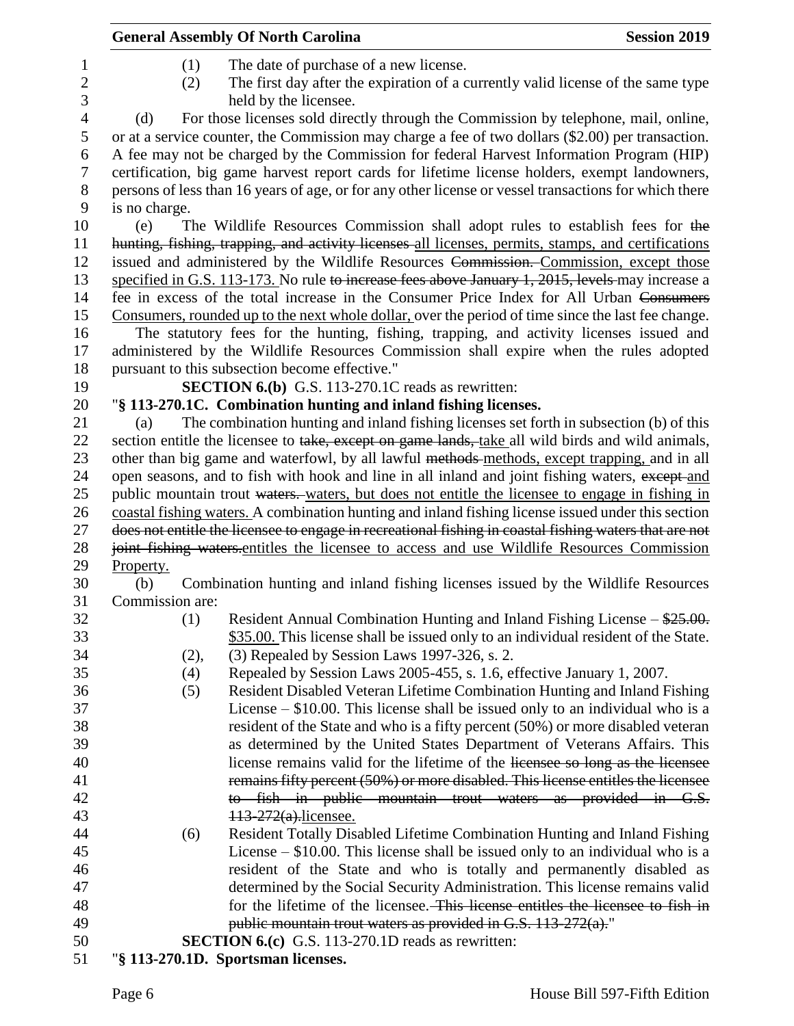|                   |                 | <b>General Assembly Of North Carolina</b>                                                                                                                                                     | <b>Session 2019</b> |
|-------------------|-----------------|-----------------------------------------------------------------------------------------------------------------------------------------------------------------------------------------------|---------------------|
| $\mathbf{1}$      | (1)             | The date of purchase of a new license.                                                                                                                                                        |                     |
| $\mathbf{2}$<br>3 | (2)             | The first day after the expiration of a currently valid license of the same type<br>held by the licensee.                                                                                     |                     |
| $\overline{4}$    | (d)             | For those licenses sold directly through the Commission by telephone, mail, online,                                                                                                           |                     |
| 5                 |                 | or at a service counter, the Commission may charge a fee of two dollars (\$2.00) per transaction.                                                                                             |                     |
| 6                 |                 | A fee may not be charged by the Commission for federal Harvest Information Program (HIP)                                                                                                      |                     |
| $\boldsymbol{7}$  |                 | certification, big game harvest report cards for lifetime license holders, exempt landowners,                                                                                                 |                     |
| $8\,$             |                 | persons of less than 16 years of age, or for any other license or vessel transactions for which there                                                                                         |                     |
| 9                 | is no charge.   |                                                                                                                                                                                               |                     |
| 10                | (e)             | The Wildlife Resources Commission shall adopt rules to establish fees for the                                                                                                                 |                     |
| 11<br>12          |                 | hunting, fishing, trapping, and activity licenses all licenses, permits, stamps, and certifications<br>issued and administered by the Wildlife Resources Commission. Commission, except those |                     |
| 13                |                 | specified in G.S. 113-173. No rule to increase fees above January 1, 2015, levels may increase a                                                                                              |                     |
| 14                |                 | fee in excess of the total increase in the Consumer Price Index for All Urban Consumers                                                                                                       |                     |
| 15                |                 | Consumers, rounded up to the next whole dollar, over the period of time since the last fee change.                                                                                            |                     |
| 16                |                 | The statutory fees for the hunting, fishing, trapping, and activity licenses issued and                                                                                                       |                     |
| 17                |                 | administered by the Wildlife Resources Commission shall expire when the rules adopted                                                                                                         |                     |
| 18                |                 | pursuant to this subsection become effective."                                                                                                                                                |                     |
| 19                |                 | <b>SECTION 6.(b)</b> G.S. 113-270.1C reads as rewritten:                                                                                                                                      |                     |
| 20                |                 | "§ 113-270.1C. Combination hunting and inland fishing licenses.                                                                                                                               |                     |
| 21                | (a)             | The combination hunting and inland fishing licenses set forth in subsection (b) of this                                                                                                       |                     |
| 22                |                 | section entitle the licensee to take, except on game lands, take all wild birds and wild animals,                                                                                             |                     |
| 23                |                 | other than big game and waterfowl, by all lawful methods methods, except trapping, and in all                                                                                                 |                     |
| 24                |                 | open seasons, and to fish with hook and line in all inland and joint fishing waters, except and                                                                                               |                     |
| 25                |                 | public mountain trout waters. waters, but does not entitle the licensee to engage in fishing in                                                                                               |                     |
| 26                |                 | coastal fishing waters. A combination hunting and inland fishing license issued under this section                                                                                            |                     |
| 27                |                 | does not entitle the licensee to engage in recreational fishing in coastal fishing waters that are not                                                                                        |                     |
| 28<br>29          | Property.       | joint fishing waters-entitles the licensee to access and use Wildlife Resources Commission                                                                                                    |                     |
| 30                | (b)             | Combination hunting and inland fishing licenses issued by the Wildlife Resources                                                                                                              |                     |
| 31                | Commission are: |                                                                                                                                                                                               |                     |
| 32                | (1)             | Resident Annual Combination Hunting and Inland Fishing License $-\frac{$25.00}{}$ .                                                                                                           |                     |
| 33                |                 | \$35.00. This license shall be issued only to an individual resident of the State.                                                                                                            |                     |
| 34                | (2),            | (3) Repealed by Session Laws 1997-326, s. 2.                                                                                                                                                  |                     |
| 35                | (4)             | Repealed by Session Laws 2005-455, s. 1.6, effective January 1, 2007.                                                                                                                         |                     |
| 36                | (5)             | Resident Disabled Veteran Lifetime Combination Hunting and Inland Fishing                                                                                                                     |                     |
| 37                |                 | License $-$ \$10.00. This license shall be issued only to an individual who is a                                                                                                              |                     |
| 38                |                 | resident of the State and who is a fifty percent (50%) or more disabled veteran                                                                                                               |                     |
| 39                |                 | as determined by the United States Department of Veterans Affairs. This                                                                                                                       |                     |
| 40                |                 | license remains valid for the lifetime of the licensee so long as the licensee                                                                                                                |                     |
| 41                |                 | remains fifty percent (50%) or more disabled. This license entitles the licensee                                                                                                              |                     |
| 42                |                 | to fish in public mountain trout waters as provided in G.S.                                                                                                                                   |                     |
| 43                |                 | 113-272(a).licensee.                                                                                                                                                                          |                     |
| 44                | (6)             | Resident Totally Disabled Lifetime Combination Hunting and Inland Fishing                                                                                                                     |                     |
| 45                |                 | License $-$ \$10.00. This license shall be issued only to an individual who is a                                                                                                              |                     |
| 46                |                 | resident of the State and who is totally and permanently disabled as                                                                                                                          |                     |
| 47                |                 | determined by the Social Security Administration. This license remains valid                                                                                                                  |                     |
| 48                |                 | for the lifetime of the licensee. This license entitles the licensee to fish in                                                                                                               |                     |
| 49                |                 | public mountain trout waters as provided in G.S. $113-272(a)$ ."                                                                                                                              |                     |
| 50                |                 | <b>SECTION 6.(c)</b> G.S. 113-270.1D reads as rewritten:                                                                                                                                      |                     |
| 51                |                 | "§ 113-270.1D. Sportsman licenses.                                                                                                                                                            |                     |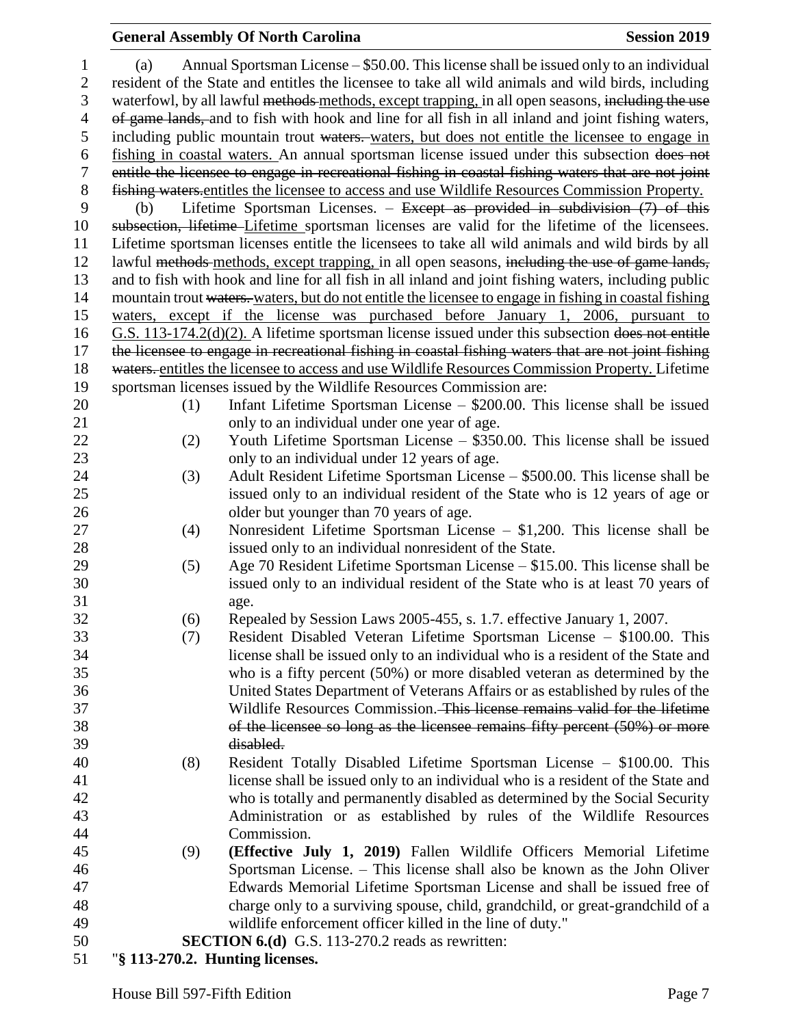| 1              | (a)                                                                                                | Annual Sportsman License – \$50.00. This license shall be issued only to an individual                                                                    |  |
|----------------|----------------------------------------------------------------------------------------------------|-----------------------------------------------------------------------------------------------------------------------------------------------------------|--|
| $\overline{c}$ |                                                                                                    | resident of the State and entitles the licensee to take all wild animals and wild birds, including                                                        |  |
| 3              |                                                                                                    | waterfowl, by all lawful methods methods, except trapping, in all open seasons, including the use                                                         |  |
| $\overline{4}$ | of game lands, and to fish with hook and line for all fish in all inland and joint fishing waters, |                                                                                                                                                           |  |
| 5              | including public mountain trout waters. waters, but does not entitle the licensee to engage in     |                                                                                                                                                           |  |
| 6              |                                                                                                    | fishing in coastal waters. An annual sportsman license issued under this subsection does not                                                              |  |
| 7              |                                                                                                    | entitle the licensee to engage in recreational fishing in coastal fishing waters that are not joint                                                       |  |
| $8\,$          |                                                                                                    | fishing waters entitles the licensee to access and use Wildlife Resources Commission Property.                                                            |  |
| 9              | (b)                                                                                                | Lifetime Sportsman Licenses. – Except as provided in subdivision $(7)$ of this                                                                            |  |
| 10             |                                                                                                    | subsection, lifetime-Lifetime sportsman licenses are valid for the lifetime of the licensees.                                                             |  |
| 11             |                                                                                                    | Lifetime sportsman licenses entitle the licensees to take all wild animals and wild birds by all                                                          |  |
| 12             |                                                                                                    | lawful methods methods, except trapping, in all open seasons, including the use of game lands,                                                            |  |
| 13             |                                                                                                    | and to fish with hook and line for all fish in all inland and joint fishing waters, including public                                                      |  |
| 14             |                                                                                                    | mountain trout waters. waters, but do not entitle the licensee to engage in fishing in coastal fishing                                                    |  |
| 15             |                                                                                                    | waters, except if the license was purchased before January 1, 2006, pursuant to                                                                           |  |
| 16             |                                                                                                    | G.S. 113-174.2(d)(2). A lifetime sportsman license issued under this subsection does not entitle                                                          |  |
| 17             |                                                                                                    | the licensee to engage in recreational fishing in coastal fishing waters that are not joint fishing                                                       |  |
| 18             |                                                                                                    | waters. entitles the licensee to access and use Wildlife Resources Commission Property. Lifetime                                                          |  |
| 19             |                                                                                                    | sportsman licenses issued by the Wildlife Resources Commission are:                                                                                       |  |
| 20             | (1)                                                                                                | Infant Lifetime Sportsman License $-$ \$200.00. This license shall be issued                                                                              |  |
| 21             |                                                                                                    | only to an individual under one year of age.                                                                                                              |  |
| 22             | (2)                                                                                                | Youth Lifetime Sportsman License – \$350.00. This license shall be issued                                                                                 |  |
| 23             |                                                                                                    | only to an individual under 12 years of age.                                                                                                              |  |
| 24             | (3)                                                                                                | Adult Resident Lifetime Sportsman License – \$500.00. This license shall be                                                                               |  |
| 25             |                                                                                                    | issued only to an individual resident of the State who is 12 years of age or                                                                              |  |
| 26             |                                                                                                    | older but younger than 70 years of age.                                                                                                                   |  |
| 27             | (4)                                                                                                | Nonresident Lifetime Sportsman License $- $1,200$ . This license shall be                                                                                 |  |
| 28             |                                                                                                    | issued only to an individual nonresident of the State.                                                                                                    |  |
| 29             | (5)                                                                                                | Age 70 Resident Lifetime Sportsman License – \$15.00. This license shall be                                                                               |  |
| 30             |                                                                                                    | issued only to an individual resident of the State who is at least 70 years of                                                                            |  |
| 31             |                                                                                                    | age.                                                                                                                                                      |  |
| 32             | (6)                                                                                                | Repealed by Session Laws 2005-455, s. 1.7. effective January 1, 2007.                                                                                     |  |
| 33             | (7)                                                                                                | Resident Disabled Veteran Lifetime Sportsman License - \$100.00. This                                                                                     |  |
| 34             |                                                                                                    | license shall be issued only to an individual who is a resident of the State and                                                                          |  |
| 35             |                                                                                                    | who is a fifty percent (50%) or more disabled veteran as determined by the                                                                                |  |
| 36             |                                                                                                    | United States Department of Veterans Affairs or as established by rules of the                                                                            |  |
| 37             |                                                                                                    | Wildlife Resources Commission. This license remains valid for the lifetime                                                                                |  |
| 38             |                                                                                                    | of the licensee so long as the licensee remains fifty percent (50%) or more                                                                               |  |
| 39<br>40       |                                                                                                    | disabled.                                                                                                                                                 |  |
| 41             | (8)                                                                                                | Resident Totally Disabled Lifetime Sportsman License - \$100.00. This<br>license shall be issued only to an individual who is a resident of the State and |  |
| 42             |                                                                                                    | who is totally and permanently disabled as determined by the Social Security                                                                              |  |
| 43             |                                                                                                    | Administration or as established by rules of the Wildlife Resources                                                                                       |  |
| 44             |                                                                                                    | Commission.                                                                                                                                               |  |
| 45             | (9)                                                                                                | (Effective July 1, 2019) Fallen Wildlife Officers Memorial Lifetime                                                                                       |  |
| 46             |                                                                                                    | Sportsman License. - This license shall also be known as the John Oliver                                                                                  |  |
| 47             |                                                                                                    | Edwards Memorial Lifetime Sportsman License and shall be issued free of                                                                                   |  |
| 48             |                                                                                                    | charge only to a surviving spouse, child, grandchild, or great-grandchild of a                                                                            |  |
| 49             |                                                                                                    | wildlife enforcement officer killed in the line of duty."                                                                                                 |  |
| 50             |                                                                                                    | <b>SECTION 6.(d)</b> G.S. 113-270.2 reads as rewritten:                                                                                                   |  |
| 51             | "§ 113-270.2. Hunting licenses.                                                                    |                                                                                                                                                           |  |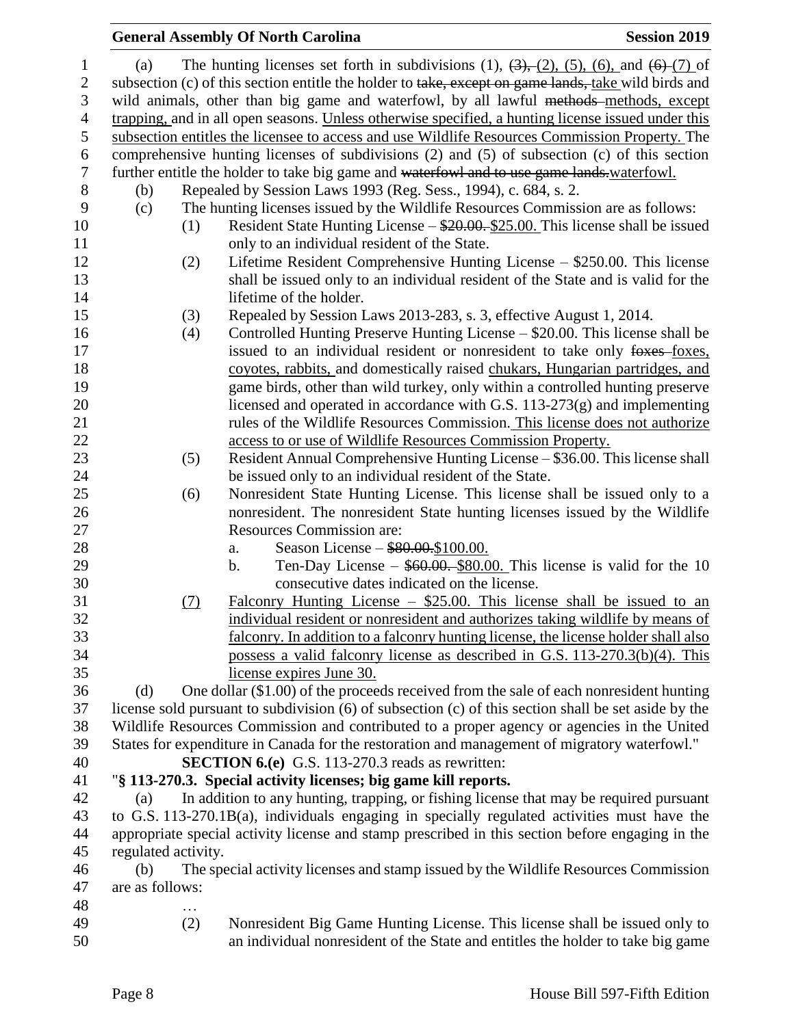|                     |     | <b>General Assembly Of North Carolina</b>                                                                                       | <b>Session 2019</b> |
|---------------------|-----|---------------------------------------------------------------------------------------------------------------------------------|---------------------|
| (a)                 |     | The hunting licenses set forth in subdivisions (1), $(3)$ , $(2)$ , $(5)$ , $(6)$ , and $(6)$ - $(7)$ of                        |                     |
|                     |     | subsection (c) of this section entitle the holder to take, except on game lands, take wild birds and                            |                     |
|                     |     | wild animals, other than big game and waterfowl, by all lawful methods-methods, except                                          |                     |
|                     |     | trapping, and in all open seasons. Unless otherwise specified, a hunting license issued under this                              |                     |
|                     |     | subsection entitles the licensee to access and use Wildlife Resources Commission Property. The                                  |                     |
|                     |     | comprehensive hunting licenses of subdivisions (2) and (5) of subsection (c) of this section                                    |                     |
|                     |     | further entitle the holder to take big game and waterfowl and to use game lands waterfowl.                                      |                     |
| (b)                 |     | Repealed by Session Laws 1993 (Reg. Sess., 1994), c. 684, s. 2.                                                                 |                     |
| (c)                 |     | The hunting licenses issued by the Wildlife Resources Commission are as follows:                                                |                     |
|                     | (1) | Resident State Hunting License – \$20.00. \$25.00. This license shall be issued<br>only to an individual resident of the State. |                     |
|                     | (2) | Lifetime Resident Comprehensive Hunting License – \$250.00. This license                                                        |                     |
|                     |     | shall be issued only to an individual resident of the State and is valid for the                                                |                     |
|                     |     | lifetime of the holder.                                                                                                         |                     |
|                     | (3) | Repealed by Session Laws 2013-283, s. 3, effective August 1, 2014.                                                              |                     |
|                     | (4) | Controlled Hunting Preserve Hunting License – \$20.00. This license shall be                                                    |                     |
|                     |     | issued to an individual resident or nonresident to take only foxes-foxes,                                                       |                     |
|                     |     | coyotes, rabbits, and domestically raised chukars, Hungarian partridges, and                                                    |                     |
|                     |     | game birds, other than wild turkey, only within a controlled hunting preserve                                                   |                     |
|                     |     | licensed and operated in accordance with G.S. $113-273(g)$ and implementing                                                     |                     |
|                     |     | rules of the Wildlife Resources Commission. This license does not authorize                                                     |                     |
|                     |     | access to or use of Wildlife Resources Commission Property.                                                                     |                     |
|                     | (5) | Resident Annual Comprehensive Hunting License - \$36.00. This license shall                                                     |                     |
|                     |     | be issued only to an individual resident of the State.                                                                          |                     |
|                     | (6) | Nonresident State Hunting License. This license shall be issued only to a                                                       |                     |
|                     |     | nonresident. The nonresident State hunting licenses issued by the Wildlife                                                      |                     |
|                     |     | <b>Resources Commission are:</b>                                                                                                |                     |
|                     |     | Season License - \$80.00.\$100.00.<br>a.                                                                                        |                     |
|                     |     | Ten-Day License $-$ \$60.00. \$80.00. This license is valid for the 10<br>b.<br>consecutive dates indicated on the license.     |                     |
|                     | (7) | Falconry Hunting License $-$ \$25.00. This license shall be issued to an                                                        |                     |
|                     |     | individual resident or nonresident and authorizes taking wildlife by means of                                                   |                     |
|                     |     | falconry. In addition to a falconry hunting license, the license holder shall also                                              |                     |
|                     |     | possess a valid falconry license as described in G.S. 113-270.3(b)(4). This                                                     |                     |
|                     |     | license expires June 30.                                                                                                        |                     |
| (d)                 |     | One dollar (\$1.00) of the proceeds received from the sale of each nonresident hunting                                          |                     |
|                     |     | license sold pursuant to subdivision (6) of subsection (c) of this section shall be set aside by the                            |                     |
|                     |     | Wildlife Resources Commission and contributed to a proper agency or agencies in the United                                      |                     |
|                     |     | States for expenditure in Canada for the restoration and management of migratory waterfowl."                                    |                     |
|                     |     | <b>SECTION 6.(e)</b> G.S. 113-270.3 reads as rewritten:                                                                         |                     |
|                     |     | "§ 113-270.3. Special activity licenses; big game kill reports.                                                                 |                     |
| (a)                 |     | In addition to any hunting, trapping, or fishing license that may be required pursuant                                          |                     |
|                     |     | to G.S. 113-270.1B(a), individuals engaging in specially regulated activities must have the                                     |                     |
|                     |     | appropriate special activity license and stamp prescribed in this section before engaging in the                                |                     |
| regulated activity. |     |                                                                                                                                 |                     |
| (b)                 |     | The special activity licenses and stamp issued by the Wildlife Resources Commission                                             |                     |
| are as follows:     |     |                                                                                                                                 |                     |
|                     |     |                                                                                                                                 |                     |
|                     | (2) | Nonresident Big Game Hunting License. This license shall be issued only to                                                      |                     |
|                     |     | an individual nonresident of the State and entitles the holder to take big game                                                 |                     |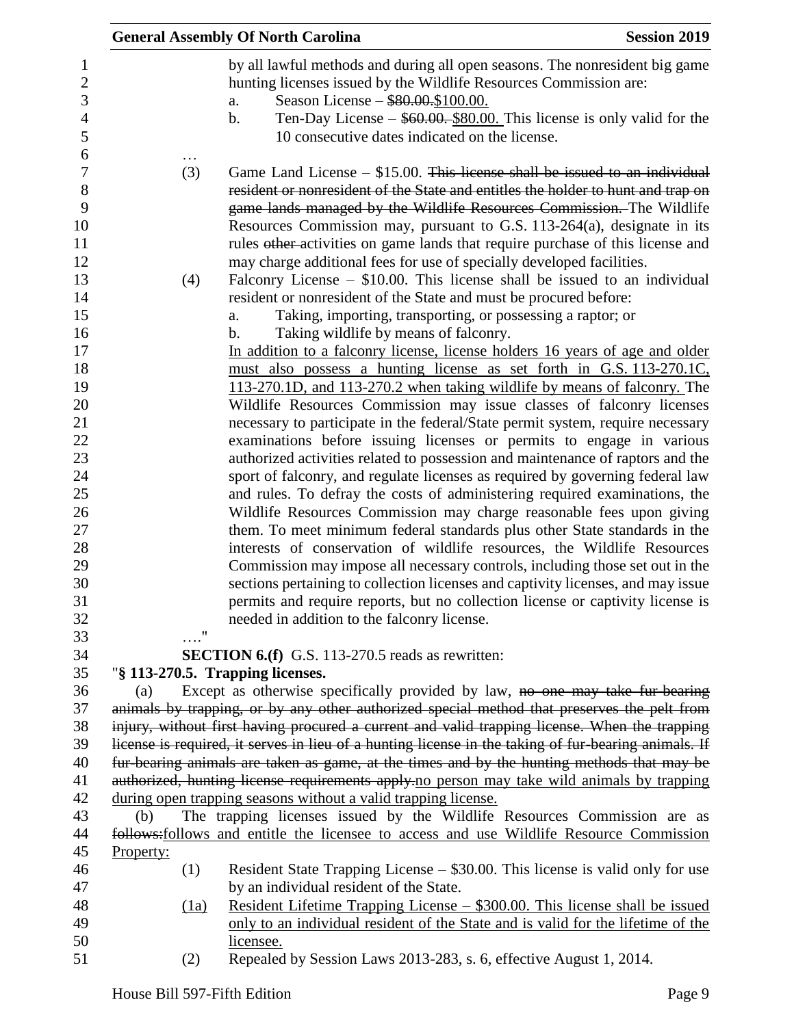|                                                      | <b>General Assembly Of North Carolina</b><br><b>Session 2019</b>                                                                                                                                                                                                                                                                                                                                                                                                                                                                                                             |
|------------------------------------------------------|------------------------------------------------------------------------------------------------------------------------------------------------------------------------------------------------------------------------------------------------------------------------------------------------------------------------------------------------------------------------------------------------------------------------------------------------------------------------------------------------------------------------------------------------------------------------------|
| 1<br>$\overline{c}$<br>3<br>$\overline{4}$<br>5<br>6 | by all lawful methods and during all open seasons. The nonresident big game<br>hunting licenses issued by the Wildlife Resources Commission are:<br>Season License - \$80.00.\$100.00.<br>a.<br>Ten-Day License $-$ \$60.00. \$80.00. This license is only valid for the<br>$\mathbf b$ .<br>10 consecutive dates indicated on the license.                                                                                                                                                                                                                                  |
| $\overline{7}$<br>$8\,$<br>9<br>10<br>11<br>12<br>13 | Game Land License $-$ \$15.00. This license shall be issued to an individual<br>(3)<br>resident or nonresident of the State and entitles the holder to hunt and trap on<br>game lands managed by the Wildlife Resources Commission. The Wildlife<br>Resources Commission may, pursuant to G.S. 113-264(a), designate in its<br>rules other-activities on game lands that require purchase of this license and<br>may charge additional fees for use of specially developed facilities.<br>Falconry License $-$ \$10.00. This license shall be issued to an individual<br>(4) |
| 14                                                   | resident or nonresident of the State and must be procured before:                                                                                                                                                                                                                                                                                                                                                                                                                                                                                                            |
| 15                                                   | Taking, importing, transporting, or possessing a raptor; or<br>a.                                                                                                                                                                                                                                                                                                                                                                                                                                                                                                            |
| 16                                                   | Taking wildlife by means of falconry.<br>b.                                                                                                                                                                                                                                                                                                                                                                                                                                                                                                                                  |
| 17                                                   | In addition to a falconry license, license holders 16 years of age and older                                                                                                                                                                                                                                                                                                                                                                                                                                                                                                 |
| 18                                                   | must also possess a hunting license as set forth in G.S. 113-270.1C.                                                                                                                                                                                                                                                                                                                                                                                                                                                                                                         |
| 19                                                   | 113-270.1D, and 113-270.2 when taking wildlife by means of falconry. The                                                                                                                                                                                                                                                                                                                                                                                                                                                                                                     |
| 20                                                   | Wildlife Resources Commission may issue classes of falconry licenses                                                                                                                                                                                                                                                                                                                                                                                                                                                                                                         |
| 21<br>22                                             | necessary to participate in the federal/State permit system, require necessary<br>examinations before issuing licenses or permits to engage in various                                                                                                                                                                                                                                                                                                                                                                                                                       |
| 23                                                   | authorized activities related to possession and maintenance of raptors and the                                                                                                                                                                                                                                                                                                                                                                                                                                                                                               |
| 24                                                   | sport of falconry, and regulate licenses as required by governing federal law                                                                                                                                                                                                                                                                                                                                                                                                                                                                                                |
| 25                                                   | and rules. To defray the costs of administering required examinations, the                                                                                                                                                                                                                                                                                                                                                                                                                                                                                                   |
| 26                                                   | Wildlife Resources Commission may charge reasonable fees upon giving                                                                                                                                                                                                                                                                                                                                                                                                                                                                                                         |
| 27                                                   | them. To meet minimum federal standards plus other State standards in the                                                                                                                                                                                                                                                                                                                                                                                                                                                                                                    |
| 28                                                   | interests of conservation of wildlife resources, the Wildlife Resources                                                                                                                                                                                                                                                                                                                                                                                                                                                                                                      |
| 29                                                   | Commission may impose all necessary controls, including those set out in the                                                                                                                                                                                                                                                                                                                                                                                                                                                                                                 |
| 30                                                   | sections pertaining to collection licenses and captivity licenses, and may issue                                                                                                                                                                                                                                                                                                                                                                                                                                                                                             |
| 31                                                   | permits and require reports, but no collection license or captivity license is                                                                                                                                                                                                                                                                                                                                                                                                                                                                                               |
| 32                                                   | needed in addition to the falconry license.                                                                                                                                                                                                                                                                                                                                                                                                                                                                                                                                  |
| 33<br>34                                             | $\ldots$ "<br><b>SECTION 6.(f)</b> G.S. 113-270.5 reads as rewritten:                                                                                                                                                                                                                                                                                                                                                                                                                                                                                                        |
| 35                                                   | "§ 113-270.5. Trapping licenses.                                                                                                                                                                                                                                                                                                                                                                                                                                                                                                                                             |
| 36                                                   | Except as otherwise specifically provided by law, no one may take fur-bearing<br>(a)                                                                                                                                                                                                                                                                                                                                                                                                                                                                                         |
| 37                                                   | animals by trapping, or by any other authorized special method that preserves the pelt from                                                                                                                                                                                                                                                                                                                                                                                                                                                                                  |
| 38                                                   | injury, without first having procured a current and valid trapping license. When the trapping                                                                                                                                                                                                                                                                                                                                                                                                                                                                                |
| 39                                                   | license is required, it serves in lieu of a hunting license in the taking of fur-bearing animals. If                                                                                                                                                                                                                                                                                                                                                                                                                                                                         |
| 40                                                   | fur-bearing animals are taken as game, at the times and by the hunting methods that may be                                                                                                                                                                                                                                                                                                                                                                                                                                                                                   |
| 41                                                   | authorized, hunting license requirements apply-no person may take wild animals by trapping                                                                                                                                                                                                                                                                                                                                                                                                                                                                                   |
| 42                                                   | during open trapping seasons without a valid trapping license.                                                                                                                                                                                                                                                                                                                                                                                                                                                                                                               |
| 43                                                   | The trapping licenses issued by the Wildlife Resources Commission are as<br>(b)                                                                                                                                                                                                                                                                                                                                                                                                                                                                                              |
| 44                                                   | follows: follows and entitle the licensee to access and use Wildlife Resource Commission                                                                                                                                                                                                                                                                                                                                                                                                                                                                                     |
| 45                                                   | Property:                                                                                                                                                                                                                                                                                                                                                                                                                                                                                                                                                                    |
| 46<br>47                                             | Resident State Trapping License – \$30.00. This license is valid only for use<br>(1)<br>by an individual resident of the State.                                                                                                                                                                                                                                                                                                                                                                                                                                              |
| 48                                                   | <u> Resident Lifetime Trapping License – \$300.00. This license shall be issued</u><br>(1a)                                                                                                                                                                                                                                                                                                                                                                                                                                                                                  |
| 49                                                   | only to an individual resident of the State and is valid for the lifetime of the                                                                                                                                                                                                                                                                                                                                                                                                                                                                                             |
| 50                                                   | licensee.                                                                                                                                                                                                                                                                                                                                                                                                                                                                                                                                                                    |
| 51                                                   | Repealed by Session Laws 2013-283, s. 6, effective August 1, 2014.<br>(2)                                                                                                                                                                                                                                                                                                                                                                                                                                                                                                    |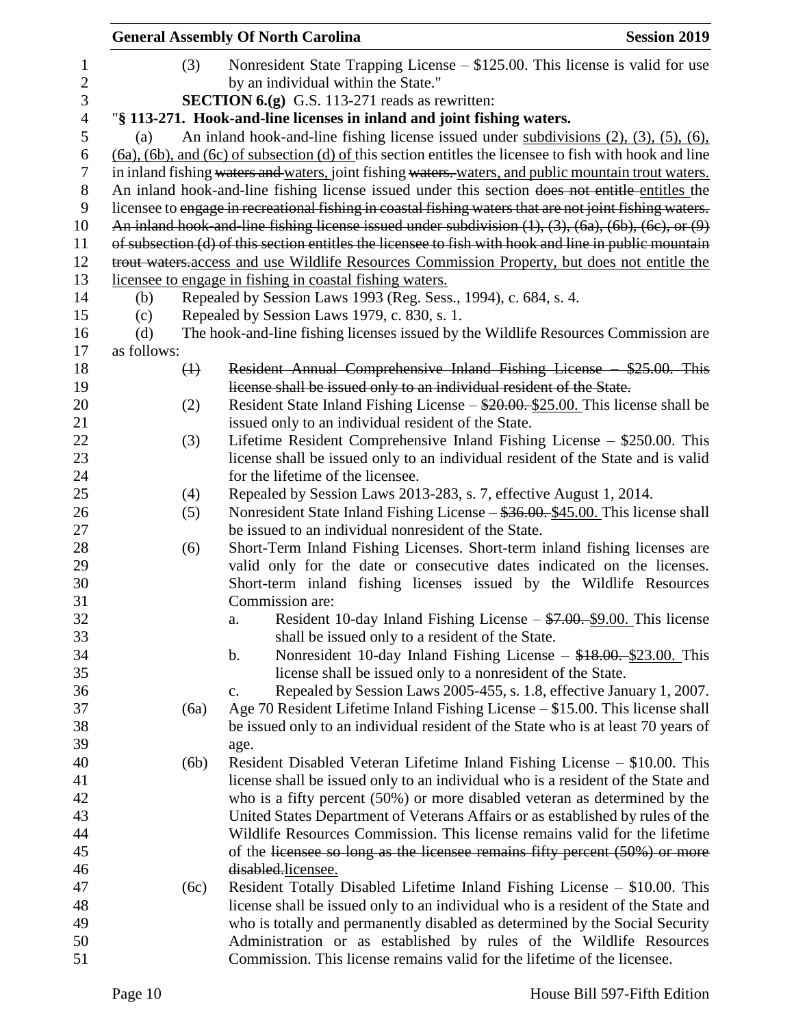|                |             |             | <b>General Assembly Of North Carolina</b>                                                                             | <b>Session 2019</b> |
|----------------|-------------|-------------|-----------------------------------------------------------------------------------------------------------------------|---------------------|
| 1              |             | (3)         | Nonresident State Trapping License $-$ \$125.00. This license is valid for use                                        |                     |
| $\overline{c}$ |             |             | by an individual within the State."                                                                                   |                     |
| $\mathfrak{Z}$ |             |             | <b>SECTION 6.(g)</b> G.S. 113-271 reads as rewritten:                                                                 |                     |
| $\overline{4}$ |             |             | "§ 113-271. Hook-and-line licenses in inland and joint fishing waters.                                                |                     |
| $\mathfrak s$  | (a)         |             | An inland hook-and-line fishing license issued under subdivisions $(2)$ , $(3)$ , $(5)$ , $(6)$ ,                     |                     |
| 6              |             |             | $(6a)$ , $(6b)$ , and $(6c)$ of subsection $(d)$ of this section entitles the licensee to fish with hook and line     |                     |
| $\tau$         |             |             | in inland fishing waters and waters, joint fishing waters. waters, and public mountain trout waters.                  |                     |
| 8              |             |             | An inland hook-and-line fishing license issued under this section does not entitle entitles the                       |                     |
| 9              |             |             | licensee to engage in recreational fishing in coastal fishing waters that are not joint fishing waters.               |                     |
| 10             |             |             | An inland hook-and-line fishing license issued under subdivision $(1)$ , $(3)$ , $(6a)$ , $(6b)$ , $(6c)$ , or $(9)$  |                     |
| 11             |             |             | of subsection (d) of this section entitles the licensee to fish with hook and line in public mountain                 |                     |
| 12             |             |             | trout waters access and use Wildlife Resources Commission Property, but does not entitle the                          |                     |
| 13             |             |             | licensee to engage in fishing in coastal fishing waters.                                                              |                     |
| 14             | (b)         |             | Repealed by Session Laws 1993 (Reg. Sess., 1994), c. 684, s. 4.                                                       |                     |
| 15             | (c)         |             | Repealed by Session Laws 1979, c. 830, s. 1.                                                                          |                     |
| 16             | (d)         |             | The hook-and-line fishing licenses issued by the Wildlife Resources Commission are                                    |                     |
| 17             | as follows: |             |                                                                                                                       |                     |
| 18             |             | $\bigoplus$ | Resident Annual Comprehensive Inland Fishing License \$25.00. This                                                    |                     |
| 19             |             |             | license shall be issued only to an individual resident of the State.                                                  |                     |
| 20             |             | (2)         | Resident State Inland Fishing License $-\frac{$20.00}{25.00}$ . This license shall be                                 |                     |
| 21             |             |             | issued only to an individual resident of the State.                                                                   |                     |
| 22             |             | (3)         | Lifetime Resident Comprehensive Inland Fishing License - \$250.00. This                                               |                     |
| 23<br>24       |             |             | license shall be issued only to an individual resident of the State and is valid<br>for the lifetime of the licensee. |                     |
| 25             |             | (4)         | Repealed by Session Laws 2013-283, s. 7, effective August 1, 2014.                                                    |                     |
| 26             |             | (5)         | Nonresident State Inland Fishing License – \$36.00. \$45.00. This license shall                                       |                     |
| 27             |             |             | be issued to an individual nonresident of the State.                                                                  |                     |
| 28             |             | (6)         | Short-Term Inland Fishing Licenses. Short-term inland fishing licenses are                                            |                     |
| 29             |             |             | valid only for the date or consecutive dates indicated on the licenses.                                               |                     |
| 30             |             |             | Short-term inland fishing licenses issued by the Wildlife Resources                                                   |                     |
| 31             |             |             | Commission are:                                                                                                       |                     |
| 32             |             |             | Resident 10-day Inland Fishing License - \$7.00. \$9.00. This license<br>a.                                           |                     |
| 33             |             |             | shall be issued only to a resident of the State.                                                                      |                     |
| 34             |             |             | Nonresident 10-day Inland Fishing License - \$18.00. \$23.00. This<br>b.                                              |                     |
| 35             |             |             | license shall be issued only to a nonresident of the State.                                                           |                     |
| 36             |             |             | Repealed by Session Laws 2005-455, s. 1.8, effective January 1, 2007.<br>c.                                           |                     |
| 37             |             | (6a)        | Age 70 Resident Lifetime Inland Fishing License – \$15.00. This license shall                                         |                     |
| 38             |             |             | be issued only to an individual resident of the State who is at least 70 years of                                     |                     |
| 39             |             |             | age.                                                                                                                  |                     |
| 40             |             | (6b)        | Resident Disabled Veteran Lifetime Inland Fishing License - \$10.00. This                                             |                     |
| 41             |             |             | license shall be issued only to an individual who is a resident of the State and                                      |                     |
| 42             |             |             | who is a fifty percent (50%) or more disabled veteran as determined by the                                            |                     |
| 43             |             |             | United States Department of Veterans Affairs or as established by rules of the                                        |                     |
| 44             |             |             | Wildlife Resources Commission. This license remains valid for the lifetime                                            |                     |
| 45<br>46       |             |             | of the licensee so long as the licensee remains fifty percent (50%) or more<br>disabled.licensee.                     |                     |
| 47             |             | (6c)        | Resident Totally Disabled Lifetime Inland Fishing License – \$10.00. This                                             |                     |
| 48             |             |             | license shall be issued only to an individual who is a resident of the State and                                      |                     |
| 49             |             |             | who is totally and permanently disabled as determined by the Social Security                                          |                     |
| 50             |             |             | Administration or as established by rules of the Wildlife Resources                                                   |                     |
| 51             |             |             | Commission. This license remains valid for the lifetime of the licensee.                                              |                     |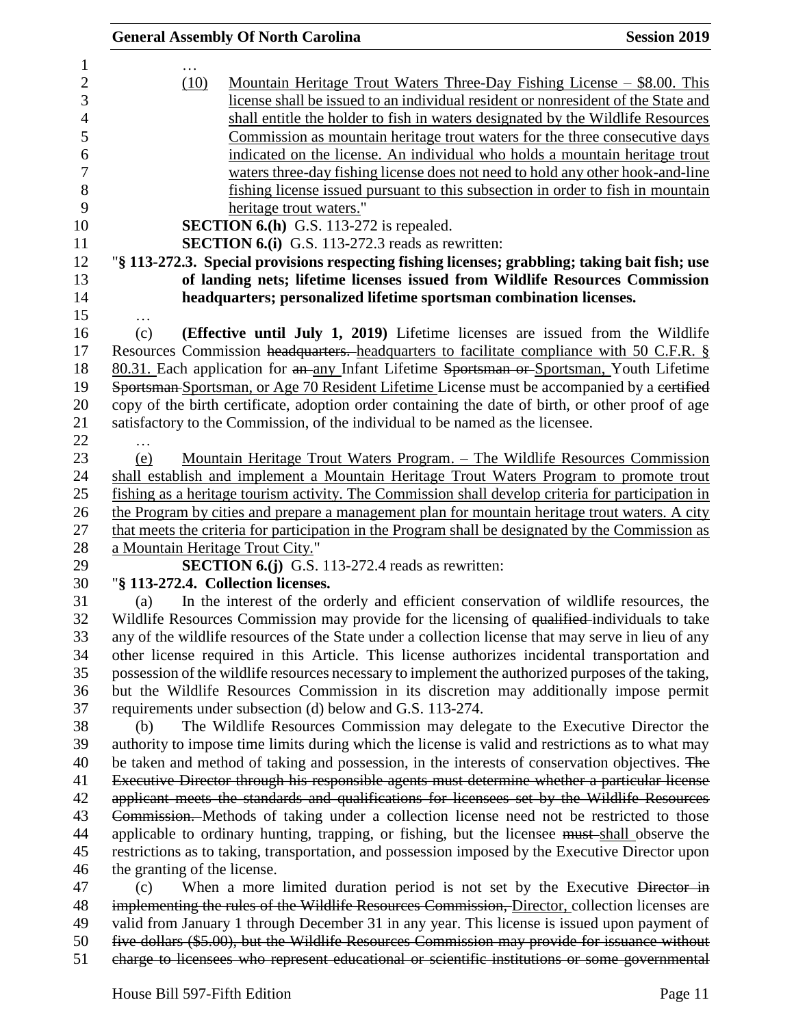|                              | <b>General Assembly Of North Carolina</b>                                                           | <b>Session 2019</b> |
|------------------------------|-----------------------------------------------------------------------------------------------------|---------------------|
|                              |                                                                                                     |                     |
| (10)                         | <u> Mountain Heritage Trout Waters Three-Day Fishing License – \$8.00. This</u>                     |                     |
|                              | license shall be issued to an individual resident or nonresident of the State and                   |                     |
|                              | shall entitle the holder to fish in waters designated by the Wildlife Resources                     |                     |
|                              | Commission as mountain heritage trout waters for the three consecutive days                         |                     |
|                              | indicated on the license. An individual who holds a mountain heritage trout                         |                     |
|                              | waters three-day fishing license does not need to hold any other hook-and-line                      |                     |
|                              | fishing license issued pursuant to this subsection in order to fish in mountain                     |                     |
|                              | heritage trout waters."                                                                             |                     |
|                              | SECTION 6.(h) G.S. 113-272 is repealed.                                                             |                     |
|                              | <b>SECTION 6.(i)</b> G.S. 113-272.3 reads as rewritten:                                             |                     |
|                              | "§ 113-272.3. Special provisions respecting fishing licenses; grabbling; taking bait fish; use      |                     |
|                              | of landing nets; lifetime licenses issued from Wildlife Resources Commission                        |                     |
|                              | headquarters; personalized lifetime sportsman combination licenses.                                 |                     |
| (c)                          | (Effective until July 1, 2019) Lifetime licenses are issued from the Wildlife                       |                     |
|                              | Resources Commission headquarters. headquarters to facilitate compliance with 50 C.F.R. §           |                     |
|                              | 80.31. Each application for an any Infant Lifetime Sportsman or Sportsman, Youth Lifetime           |                     |
|                              | Sportsman-Sportsman, or Age 70 Resident Lifetime License must be accompanied by a certified         |                     |
|                              | copy of the birth certificate, adoption order containing the date of birth, or other proof of age   |                     |
|                              |                                                                                                     |                     |
|                              | satisfactory to the Commission, of the individual to be named as the licensee.                      |                     |
|                              |                                                                                                     |                     |
| (e)                          | Mountain Heritage Trout Waters Program. – The Wildlife Resources Commission                         |                     |
|                              | shall establish and implement a Mountain Heritage Trout Waters Program to promote trout             |                     |
|                              | fishing as a heritage tourism activity. The Commission shall develop criteria for participation in  |                     |
|                              | the Program by cities and prepare a management plan for mountain heritage trout waters. A city      |                     |
|                              | that meets the criteria for participation in the Program shall be designated by the Commission as   |                     |
|                              | a Mountain Heritage Trout City."                                                                    |                     |
|                              | <b>SECTION 6.(j)</b> G.S. 113-272.4 reads as rewritten:                                             |                     |
|                              | "§ 113-272.4. Collection licenses.                                                                  |                     |
| (a)                          | In the interest of the orderly and efficient conservation of wildlife resources, the                |                     |
|                              | Wildlife Resources Commission may provide for the licensing of qualified individuals to take        |                     |
|                              | any of the wildlife resources of the State under a collection license that may serve in lieu of any |                     |
|                              | other license required in this Article. This license authorizes incidental transportation and       |                     |
|                              | possession of the wildlife resources necessary to implement the authorized purposes of the taking,  |                     |
|                              | but the Wildlife Resources Commission in its discretion may additionally impose permit              |                     |
|                              | requirements under subsection (d) below and G.S. 113-274.                                           |                     |
| (b)                          | The Wildlife Resources Commission may delegate to the Executive Director the                        |                     |
|                              | authority to impose time limits during which the license is valid and restrictions as to what may   |                     |
|                              | be taken and method of taking and possession, in the interests of conservation objectives. The      |                     |
|                              | Executive Director through his responsible agents must determine whether a particular license       |                     |
|                              | applicant meets the standards and qualifications for licensees set by the Wildlife Resources        |                     |
|                              | Commission. Methods of taking under a collection license need not be restricted to those            |                     |
|                              | applicable to ordinary hunting, trapping, or fishing, but the licensee must-shall observe the       |                     |
|                              | restrictions as to taking, transportation, and possession imposed by the Executive Director upon    |                     |
| the granting of the license. |                                                                                                     |                     |
| (c)                          | When a more limited duration period is not set by the Executive Director in                         |                     |
|                              | implementing the rules of the Wildlife Resources Commission, Director, collection licenses are      |                     |
|                              | valid from January 1 through December 31 in any year. This license is issued upon payment of        |                     |
|                              | five dollars (\$5.00), but the Wildlife Resources Commission may provide for issuance without       |                     |
|                              | charge to licensees who represent educational or scientific institutions or some governmental       |                     |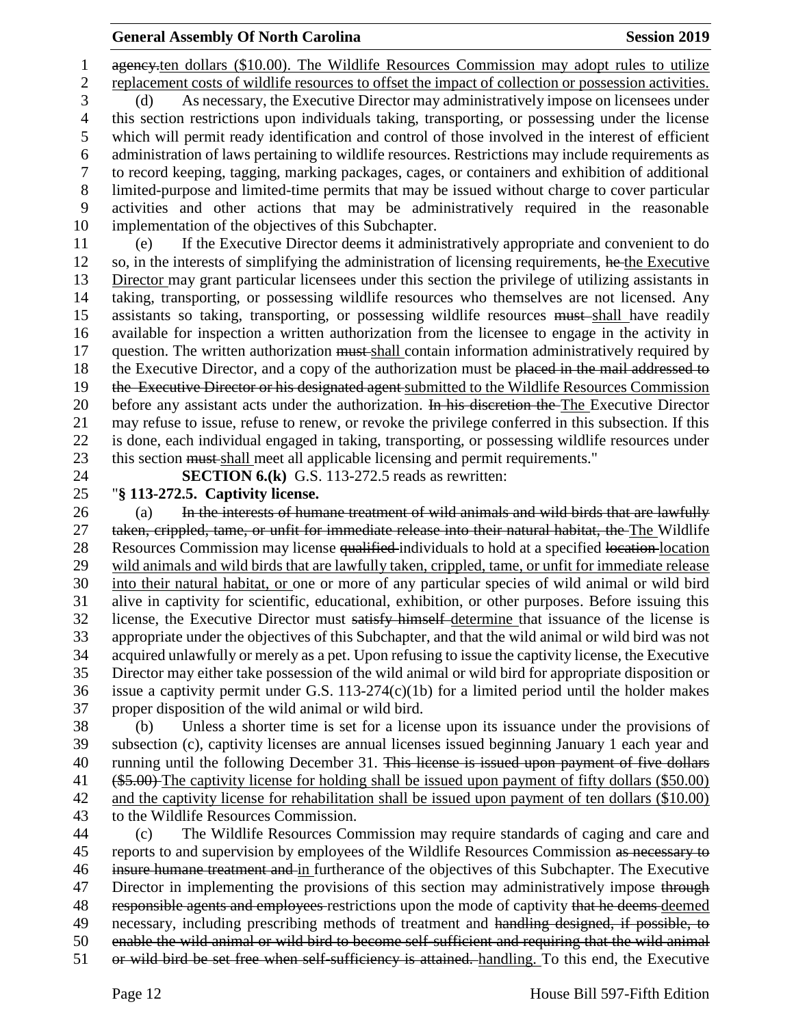1 ageney<sub>ten dollars</sub> (\$10.00). The Wildlife Resources Commission may adopt rules to utilize replacement costs of wildlife resources to offset the impact of collection or possession activities. (d) As necessary, the Executive Director may administratively impose on licensees under this section restrictions upon individuals taking, transporting, or possessing under the license which will permit ready identification and control of those involved in the interest of efficient administration of laws pertaining to wildlife resources. Restrictions may include requirements as to record keeping, tagging, marking packages, cages, or containers and exhibition of additional limited-purpose and limited-time permits that may be issued without charge to cover particular activities and other actions that may be administratively required in the reasonable implementation of the objectives of this Subchapter. (e) If the Executive Director deems it administratively appropriate and convenient to do 12 so, in the interests of simplifying the administration of licensing requirements, he the Executive

 Director may grant particular licensees under this section the privilege of utilizing assistants in taking, transporting, or possessing wildlife resources who themselves are not licensed. Any 15 assistants so taking, transporting, or possessing wildlife resources must shall have readily available for inspection a written authorization from the licensee to engage in the activity in 17 question. The written authorization must-shall contain information administratively required by 18 the Executive Director, and a copy of the authorization must be placed in the mail addressed to 19 the Executive Director or his designated agent submitted to the Wildlife Resources Commission 20 before any assistant acts under the authorization. In his discretion the The Executive Director may refuse to issue, refuse to renew, or revoke the privilege conferred in this subsection. If this is done, each individual engaged in taking, transporting, or possessing wildlife resources under this section must shall meet all applicable licensing and permit requirements."

**SECTION 6.(k)** G.S. 113-272.5 reads as rewritten:

"**§ 113-272.5. Captivity license.**

26 (a) In the interests of humane treatment of wild animals and wild birds that are lawfully taken, crippled, tame, or unfit for immediate release into their natural habitat, the The Wildlife 28 Resources Commission may license qualified individuals to hold at a specified location location wild animals and wild birds that are lawfully taken, crippled, tame, or unfit for immediate release into their natural habitat, or one or more of any particular species of wild animal or wild bird alive in captivity for scientific, educational, exhibition, or other purposes. Before issuing this license, the Executive Director must satisfy himself determine that issuance of the license is appropriate under the objectives of this Subchapter, and that the wild animal or wild bird was not acquired unlawfully or merely as a pet. Upon refusing to issue the captivity license, the Executive Director may either take possession of the wild animal or wild bird for appropriate disposition or issue a captivity permit under G.S. 113-274(c)(1b) for a limited period until the holder makes proper disposition of the wild animal or wild bird.

 (b) Unless a shorter time is set for a license upon its issuance under the provisions of subsection (c), captivity licenses are annual licenses issued beginning January 1 each year and 40 running until the following December 31. This license is issued upon payment of five dollars 41 (\$5.00) The captivity license for holding shall be issued upon payment of fifty dollars (\$50.00) and the captivity license for rehabilitation shall be issued upon payment of ten dollars (\$10.00) to the Wildlife Resources Commission.

 (c) The Wildlife Resources Commission may require standards of caging and care and 45 reports to and supervision by employees of the Wildlife Resources Commission as necessary to insure humane treatment and in furtherance of the objectives of this Subchapter. The Executive 47 Director in implementing the provisions of this section may administratively impose through 48 responsible agents and employees restrictions upon the mode of captivity that he deems deemed necessary, including prescribing methods of treatment and handling designed, if possible, to enable the wild animal or wild bird to become self-sufficient and requiring that the wild animal or wild bird be set free when self-sufficiency is attained. handling. To this end, the Executive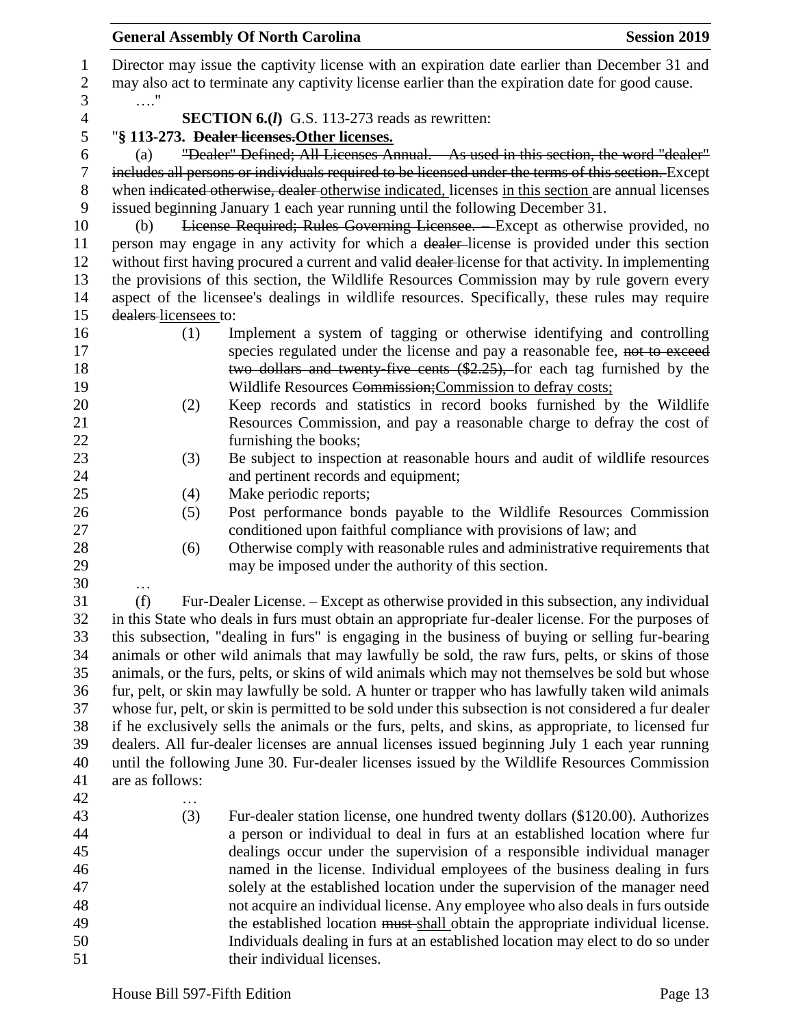| 1              | Director may issue the captivity license with an expiration date earlier than December 31 and         |  |  |  |  |
|----------------|-------------------------------------------------------------------------------------------------------|--|--|--|--|
| $\mathbf{2}$   | may also act to terminate any captivity license earlier than the expiration date for good cause.      |  |  |  |  |
| 3              | . "                                                                                                   |  |  |  |  |
| $\overline{4}$ | <b>SECTION 6.(I)</b> G.S. 113-273 reads as rewritten:                                                 |  |  |  |  |
| 5              | "§ 113-273. <del>Dealer licenses.</del> Other licenses.                                               |  |  |  |  |
|                | "Dealer" Defined; All Licenses Annual. As used in this section, the word "dealer"                     |  |  |  |  |
| 6              | (a)                                                                                                   |  |  |  |  |
| $\tau$         | includes all persons or individuals required to be licensed under the terms of this section. Except   |  |  |  |  |
| $8\phantom{1}$ | when indicated otherwise, dealer otherwise indicated, licenses in this section are annual licenses    |  |  |  |  |
| 9              | issued beginning January 1 each year running until the following December 31.                         |  |  |  |  |
| 10             | License Required; Rules Governing Licensee. - Except as otherwise provided, no<br>(b)                 |  |  |  |  |
| 11             | person may engage in any activity for which a dealer-license is provided under this section           |  |  |  |  |
| 12             | without first having procured a current and valid dealer-license for that activity. In implementing   |  |  |  |  |
| 13             | the provisions of this section, the Wildlife Resources Commission may by rule govern every            |  |  |  |  |
| 14             | aspect of the licensee's dealings in wildlife resources. Specifically, these rules may require        |  |  |  |  |
| 15             | dealers-licensees to:                                                                                 |  |  |  |  |
| 16             | Implement a system of tagging or otherwise identifying and controlling<br>(1)                         |  |  |  |  |
| 17             | species regulated under the license and pay a reasonable fee, not to exceed                           |  |  |  |  |
| 18             | two dollars and twenty five cents (\$2.25), for each tag furnished by the                             |  |  |  |  |
| 19             | Wildlife Resources Commission; Commission to defray costs;                                            |  |  |  |  |
| 20             | Keep records and statistics in record books furnished by the Wildlife<br>(2)                          |  |  |  |  |
| 21             | Resources Commission, and pay a reasonable charge to defray the cost of                               |  |  |  |  |
| 22             | furnishing the books;                                                                                 |  |  |  |  |
| 23             | Be subject to inspection at reasonable hours and audit of wildlife resources<br>(3)                   |  |  |  |  |
| 24             | and pertinent records and equipment;                                                                  |  |  |  |  |
| 25             | Make periodic reports;<br>(4)                                                                         |  |  |  |  |
| 26             | Post performance bonds payable to the Wildlife Resources Commission<br>(5)                            |  |  |  |  |
| 27             | conditioned upon faithful compliance with provisions of law; and                                      |  |  |  |  |
| 28             | Otherwise comply with reasonable rules and administrative requirements that<br>(6)                    |  |  |  |  |
| 29             | may be imposed under the authority of this section.                                                   |  |  |  |  |
| 30             |                                                                                                       |  |  |  |  |
| 31             | (f)<br>Fur-Dealer License. - Except as otherwise provided in this subsection, any individual          |  |  |  |  |
| 32             | in this State who deals in furs must obtain an appropriate fur-dealer license. For the purposes of    |  |  |  |  |
| 33             | this subsection, "dealing in furs" is engaging in the business of buying or selling fur-bearing       |  |  |  |  |
| 34             | animals or other wild animals that may lawfully be sold, the raw furs, pelts, or skins of those       |  |  |  |  |
| 35             | animals, or the furs, pelts, or skins of wild animals which may not themselves be sold but whose      |  |  |  |  |
| 36             | fur, pelt, or skin may lawfully be sold. A hunter or trapper who has lawfully taken wild animals      |  |  |  |  |
| 37             | whose fur, pelt, or skin is permitted to be sold under this subsection is not considered a fur dealer |  |  |  |  |
| 38             | if he exclusively sells the animals or the furs, pelts, and skins, as appropriate, to licensed fur    |  |  |  |  |
| 39             | dealers. All fur-dealer licenses are annual licenses issued beginning July 1 each year running        |  |  |  |  |
| 40             | until the following June 30. Fur-dealer licenses issued by the Wildlife Resources Commission          |  |  |  |  |
| 41             | are as follows:                                                                                       |  |  |  |  |
| 42             | .                                                                                                     |  |  |  |  |
| 43             | (3)<br>Fur-dealer station license, one hundred twenty dollars (\$120.00). Authorizes                  |  |  |  |  |
| 44             | a person or individual to deal in furs at an established location where fur                           |  |  |  |  |
| 45             | dealings occur under the supervision of a responsible individual manager                              |  |  |  |  |
| 46             | named in the license. Individual employees of the business dealing in furs                            |  |  |  |  |
| 47             | solely at the established location under the supervision of the manager need                          |  |  |  |  |
| 48             | not acquire an individual license. Any employee who also deals in furs outside                        |  |  |  |  |
| 49             | the established location must shall obtain the appropriate individual license.                        |  |  |  |  |
| 50             | Individuals dealing in furs at an established location may elect to do so under                       |  |  |  |  |
| 51             | their individual licenses.                                                                            |  |  |  |  |
|                |                                                                                                       |  |  |  |  |
|                | House Bill 597-Fifth Edition<br>Page 13                                                               |  |  |  |  |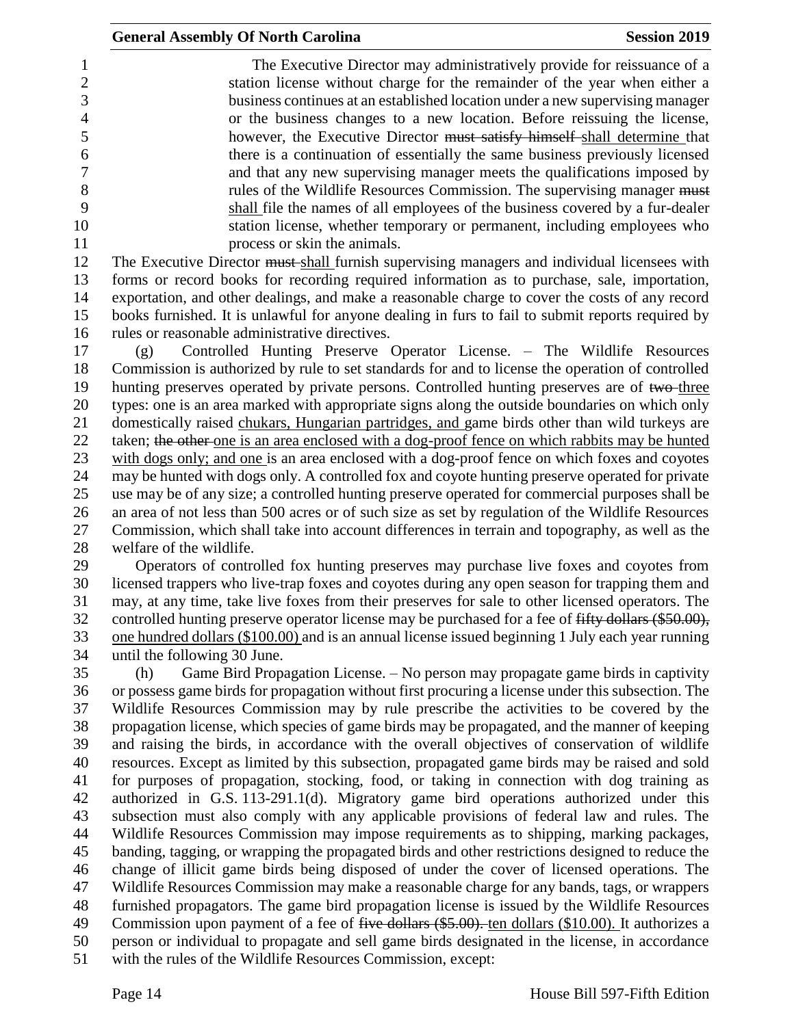The Executive Director may administratively provide for reissuance of a station license without charge for the remainder of the year when either a business continues at an established location under a new supervising manager or the business changes to a new location. Before reissuing the license, however, the Executive Director must satisfy himself shall determine that there is a continuation of essentially the same business previously licensed and that any new supervising manager meets the qualifications imposed by 8 rules of the Wildlife Resources Commission. The supervising manager must shall file the names of all employees of the business covered by a fur-dealer station license, whether temporary or permanent, including employees who 11 process or skin the animals.

12 The Executive Director must-shall furnish supervising managers and individual licensees with forms or record books for recording required information as to purchase, sale, importation, exportation, and other dealings, and make a reasonable charge to cover the costs of any record books furnished. It is unlawful for anyone dealing in furs to fail to submit reports required by rules or reasonable administrative directives.

 (g) Controlled Hunting Preserve Operator License. – The Wildlife Resources Commission is authorized by rule to set standards for and to license the operation of controlled 19 hunting preserves operated by private persons. Controlled hunting preserves are of two-three types: one is an area marked with appropriate signs along the outside boundaries on which only domestically raised chukars, Hungarian partridges, and game birds other than wild turkeys are 22 taken; the other one is an area enclosed with a dog-proof fence on which rabbits may be hunted with dogs only; and one is an area enclosed with a dog-proof fence on which foxes and coyotes may be hunted with dogs only. A controlled fox and coyote hunting preserve operated for private use may be of any size; a controlled hunting preserve operated for commercial purposes shall be an area of not less than 500 acres or of such size as set by regulation of the Wildlife Resources Commission, which shall take into account differences in terrain and topography, as well as the welfare of the wildlife.

 Operators of controlled fox hunting preserves may purchase live foxes and coyotes from licensed trappers who live-trap foxes and coyotes during any open season for trapping them and may, at any time, take live foxes from their preserves for sale to other licensed operators. The 32 controlled hunting preserve operator license may be purchased for a fee of fifty dollars (\$50.00), one hundred dollars (\$100.00) and is an annual license issued beginning 1 July each year running until the following 30 June.

 (h) Game Bird Propagation License. – No person may propagate game birds in captivity or possess game birds for propagation without first procuring a license under this subsection. The Wildlife Resources Commission may by rule prescribe the activities to be covered by the propagation license, which species of game birds may be propagated, and the manner of keeping and raising the birds, in accordance with the overall objectives of conservation of wildlife resources. Except as limited by this subsection, propagated game birds may be raised and sold for purposes of propagation, stocking, food, or taking in connection with dog training as authorized in G.S. 113-291.1(d). Migratory game bird operations authorized under this subsection must also comply with any applicable provisions of federal law and rules. The Wildlife Resources Commission may impose requirements as to shipping, marking packages, banding, tagging, or wrapping the propagated birds and other restrictions designed to reduce the change of illicit game birds being disposed of under the cover of licensed operations. The Wildlife Resources Commission may make a reasonable charge for any bands, tags, or wrappers furnished propagators. The game bird propagation license is issued by the Wildlife Resources 49 Commission upon payment of a fee of <del>five dollars (\$5.00).</del> ten dollars (\$10.00). It authorizes a person or individual to propagate and sell game birds designated in the license, in accordance with the rules of the Wildlife Resources Commission, except: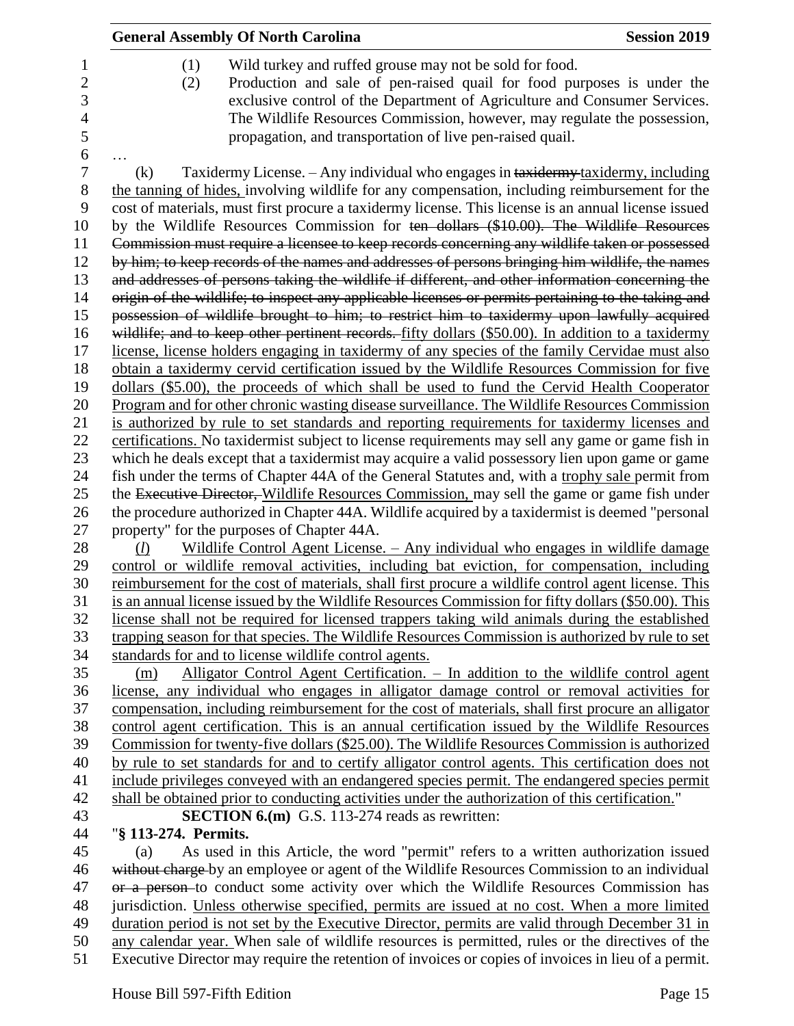|                      | <b>General Assembly Of North Carolina</b><br><b>Session 2019</b>                                                                                                                                                                                                                                                                                                                                                                                                                                   |  |
|----------------------|----------------------------------------------------------------------------------------------------------------------------------------------------------------------------------------------------------------------------------------------------------------------------------------------------------------------------------------------------------------------------------------------------------------------------------------------------------------------------------------------------|--|
| (1)<br>(2)           | Wild turkey and ruffed grouse may not be sold for food.<br>Production and sale of pen-raised quail for food purposes is under the<br>exclusive control of the Department of Agriculture and Consumer Services.<br>The Wildlife Resources Commission, however, may regulate the possession,<br>propagation, and transportation of live pen-raised quail.                                                                                                                                            |  |
| (k)                  | Taxidermy License. - Any individual who engages in taxidermy taxidermy, including                                                                                                                                                                                                                                                                                                                                                                                                                  |  |
|                      | the tanning of hides, involving wildlife for any compensation, including reimbursement for the<br>cost of materials, must first procure a taxidermy license. This license is an annual license issued<br>by the Wildlife Resources Commission for ten dollars (\$10.00). The Wildlife Resources<br>Commission must require a licensee to keep records concerning any wildlife taken or possessed<br>by him; to keep records of the names and addresses of persons bringing him wildlife, the names |  |
|                      | and addresses of persons taking the wildlife if different, and other information concerning the                                                                                                                                                                                                                                                                                                                                                                                                    |  |
|                      | origin of the wildlife; to inspect any applicable licenses or permits pertaining to the taking and                                                                                                                                                                                                                                                                                                                                                                                                 |  |
|                      | possession of wildlife brought to him; to restrict him to taxidermy upon lawfully acquired                                                                                                                                                                                                                                                                                                                                                                                                         |  |
|                      | wildlife; and to keep other pertinent records. fifty dollars (\$50.00). In addition to a taxidermy                                                                                                                                                                                                                                                                                                                                                                                                 |  |
|                      | license, license holders engaging in taxidermy of any species of the family Cervidae must also                                                                                                                                                                                                                                                                                                                                                                                                     |  |
|                      | obtain a taxidermy cervid certification issued by the Wildlife Resources Commission for five                                                                                                                                                                                                                                                                                                                                                                                                       |  |
|                      | dollars (\$5.00), the proceeds of which shall be used to fund the Cervid Health Cooperator                                                                                                                                                                                                                                                                                                                                                                                                         |  |
|                      | Program and for other chronic wasting disease surveillance. The Wildlife Resources Commission                                                                                                                                                                                                                                                                                                                                                                                                      |  |
|                      | is authorized by rule to set standards and reporting requirements for taxidermy licenses and                                                                                                                                                                                                                                                                                                                                                                                                       |  |
|                      | certifications. No taxidermist subject to license requirements may sell any game or game fish in                                                                                                                                                                                                                                                                                                                                                                                                   |  |
|                      | which he deals except that a taxidermist may acquire a valid possessory lien upon game or game                                                                                                                                                                                                                                                                                                                                                                                                     |  |
|                      | fish under the terms of Chapter 44A of the General Statutes and, with a trophy sale permit from                                                                                                                                                                                                                                                                                                                                                                                                    |  |
|                      | the Executive Director, Wildlife Resources Commission, may sell the game or game fish under                                                                                                                                                                                                                                                                                                                                                                                                        |  |
|                      | the procedure authorized in Chapter 44A. Wildlife acquired by a taxidermist is deemed "personal<br>property" for the purposes of Chapter 44A.                                                                                                                                                                                                                                                                                                                                                      |  |
| (l)                  | Wildlife Control Agent License. - Any individual who engages in wildlife damage                                                                                                                                                                                                                                                                                                                                                                                                                    |  |
|                      | control or wildlife removal activities, including bat eviction, for compensation, including                                                                                                                                                                                                                                                                                                                                                                                                        |  |
|                      | reimbursement for the cost of materials, shall first procure a wildlife control agent license. This                                                                                                                                                                                                                                                                                                                                                                                                |  |
|                      | is an annual license issued by the Wildlife Resources Commission for fifty dollars (\$50.00). This                                                                                                                                                                                                                                                                                                                                                                                                 |  |
|                      | license shall not be required for licensed trappers taking wild animals during the established                                                                                                                                                                                                                                                                                                                                                                                                     |  |
|                      | trapping season for that species. The Wildlife Resources Commission is authorized by rule to set                                                                                                                                                                                                                                                                                                                                                                                                   |  |
|                      | standards for and to license wildlife control agents.                                                                                                                                                                                                                                                                                                                                                                                                                                              |  |
| (m)                  | Alligator Control Agent Certification. - In addition to the wildlife control agent                                                                                                                                                                                                                                                                                                                                                                                                                 |  |
|                      | license, any individual who engages in alligator damage control or removal activities for                                                                                                                                                                                                                                                                                                                                                                                                          |  |
|                      | compensation, including reimbursement for the cost of materials, shall first procure an alligator                                                                                                                                                                                                                                                                                                                                                                                                  |  |
|                      | control agent certification. This is an annual certification issued by the Wildlife Resources                                                                                                                                                                                                                                                                                                                                                                                                      |  |
|                      | Commission for twenty-five dollars (\$25.00). The Wildlife Resources Commission is authorized                                                                                                                                                                                                                                                                                                                                                                                                      |  |
|                      | by rule to set standards for and to certify alligator control agents. This certification does not                                                                                                                                                                                                                                                                                                                                                                                                  |  |
|                      | include privileges conveyed with an endangered species permit. The endangered species permit                                                                                                                                                                                                                                                                                                                                                                                                       |  |
|                      | shall be obtained prior to conducting activities under the authorization of this certification."                                                                                                                                                                                                                                                                                                                                                                                                   |  |
|                      | <b>SECTION 6.(m)</b> G.S. 113-274 reads as rewritten:                                                                                                                                                                                                                                                                                                                                                                                                                                              |  |
| "§ 113-274. Permits. |                                                                                                                                                                                                                                                                                                                                                                                                                                                                                                    |  |
| (a)                  | As used in this Article, the word "permit" refers to a written authorization issued                                                                                                                                                                                                                                                                                                                                                                                                                |  |
|                      | without charge by an employee or agent of the Wildlife Resources Commission to an individual                                                                                                                                                                                                                                                                                                                                                                                                       |  |
|                      | or a person-to conduct some activity over which the Wildlife Resources Commission has                                                                                                                                                                                                                                                                                                                                                                                                              |  |
|                      | jurisdiction. Unless otherwise specified, permits are issued at no cost. When a more limited<br>duration period is not set by the Executive Director, permits are valid through December 31 in                                                                                                                                                                                                                                                                                                     |  |
|                      | any calendar year. When sale of wildlife resources is permitted, rules or the directives of the                                                                                                                                                                                                                                                                                                                                                                                                    |  |
|                      |                                                                                                                                                                                                                                                                                                                                                                                                                                                                                                    |  |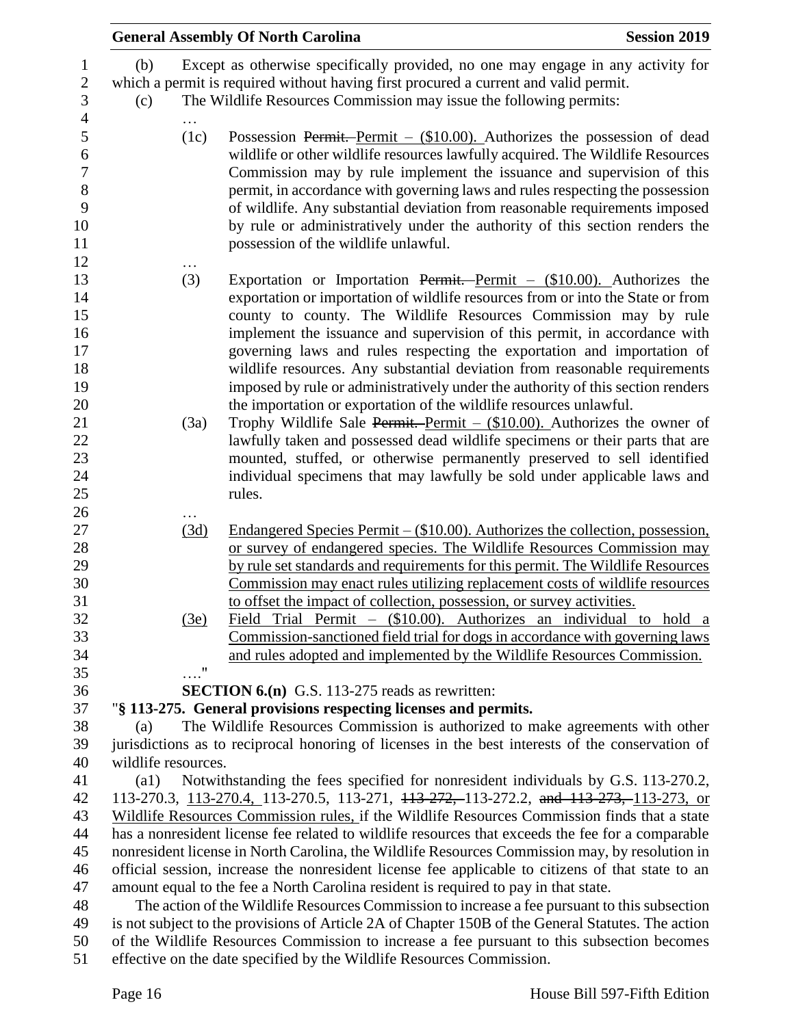|                                                                      |                                                                                                                                                                                                   |                                                                                                    | <b>General Assembly Of North Carolina</b><br><b>Session 2019</b>                                                                                                                                                                                                                                                                                                                                                                                                                                                                                                                                                            |  |  |  |  |
|----------------------------------------------------------------------|---------------------------------------------------------------------------------------------------------------------------------------------------------------------------------------------------|----------------------------------------------------------------------------------------------------|-----------------------------------------------------------------------------------------------------------------------------------------------------------------------------------------------------------------------------------------------------------------------------------------------------------------------------------------------------------------------------------------------------------------------------------------------------------------------------------------------------------------------------------------------------------------------------------------------------------------------------|--|--|--|--|
| 1<br>$\sqrt{2}$<br>3                                                 | (b)<br>(c)                                                                                                                                                                                        |                                                                                                    | Except as otherwise specifically provided, no one may engage in any activity for<br>which a permit is required without having first procured a current and valid permit.<br>The Wildlife Resources Commission may issue the following permits:                                                                                                                                                                                                                                                                                                                                                                              |  |  |  |  |
| $\overline{4}$<br>5<br>6<br>$\overline{7}$<br>$8\,$<br>9<br>10<br>11 |                                                                                                                                                                                                   | (1c)                                                                                               | Possession Permit. Permit $-$ (\$10.00). Authorizes the possession of dead<br>wildlife or other wildlife resources lawfully acquired. The Wildlife Resources<br>Commission may by rule implement the issuance and supervision of this<br>permit, in accordance with governing laws and rules respecting the possession<br>of wildlife. Any substantial deviation from reasonable requirements imposed<br>by rule or administratively under the authority of this section renders the<br>possession of the wildlife unlawful.                                                                                                |  |  |  |  |
| 12<br>13<br>14<br>15<br>16<br>17<br>18<br>19<br>20                   |                                                                                                                                                                                                   | (3)                                                                                                | Exportation or Importation Permit. Permit $-$ (\$10.00). Authorizes the<br>exportation or importation of wildlife resources from or into the State or from<br>county to county. The Wildlife Resources Commission may by rule<br>implement the issuance and supervision of this permit, in accordance with<br>governing laws and rules respecting the exportation and importation of<br>wildlife resources. Any substantial deviation from reasonable requirements<br>imposed by rule or administratively under the authority of this section renders<br>the importation or exportation of the wildlife resources unlawful. |  |  |  |  |
| 21<br>22<br>23<br>24<br>25<br>26                                     |                                                                                                                                                                                                   | (3a)                                                                                               | Trophy Wildlife Sale Permit. Permit $-$ (\$10.00). Authorizes the owner of<br>lawfully taken and possessed dead wildlife specimens or their parts that are<br>mounted, stuffed, or otherwise permanently preserved to sell identified<br>individual specimens that may lawfully be sold under applicable laws and<br>rules.                                                                                                                                                                                                                                                                                                 |  |  |  |  |
| 27<br>28<br>29<br>30<br>31                                           |                                                                                                                                                                                                   | (3d)                                                                                               | Endangered Species Permit $-$ (\$10.00). Authorizes the collection, possession,<br>or survey of endangered species. The Wildlife Resources Commission may<br>by rule set standards and requirements for this permit. The Wildlife Resources<br>Commission may enact rules utilizing replacement costs of wildlife resources<br>to offset the impact of collection, possession, or survey activities.                                                                                                                                                                                                                        |  |  |  |  |
| 32<br>33<br>34<br>35                                                 |                                                                                                                                                                                                   | (3e)<br>$\ldots$ "                                                                                 | Field Trial Permit - (\$10.00). Authorizes an individual to hold a<br>Commission-sanctioned field trial for dogs in accordance with governing laws<br>and rules adopted and implemented by the Wildlife Resources Commission.                                                                                                                                                                                                                                                                                                                                                                                               |  |  |  |  |
| 36                                                                   |                                                                                                                                                                                                   |                                                                                                    | <b>SECTION 6.(n)</b> G.S. 113-275 reads as rewritten:                                                                                                                                                                                                                                                                                                                                                                                                                                                                                                                                                                       |  |  |  |  |
| 37                                                                   |                                                                                                                                                                                                   |                                                                                                    | "§ 113-275. General provisions respecting licenses and permits.                                                                                                                                                                                                                                                                                                                                                                                                                                                                                                                                                             |  |  |  |  |
| 38                                                                   | (a)                                                                                                                                                                                               |                                                                                                    | The Wildlife Resources Commission is authorized to make agreements with other                                                                                                                                                                                                                                                                                                                                                                                                                                                                                                                                               |  |  |  |  |
| 39                                                                   |                                                                                                                                                                                                   | jurisdictions as to reciprocal honoring of licenses in the best interests of the conservation of   |                                                                                                                                                                                                                                                                                                                                                                                                                                                                                                                                                                                                                             |  |  |  |  |
| 40                                                                   |                                                                                                                                                                                                   | wildlife resources.                                                                                |                                                                                                                                                                                                                                                                                                                                                                                                                                                                                                                                                                                                                             |  |  |  |  |
| 41<br>42                                                             | Notwithstanding the fees specified for nonresident individuals by G.S. 113-270.2,<br>$\left( a1\right)$<br>113-270.3, 113-270.4, 113-270.5, 113-271, 113-272, 113-272.2, and 113-273, 113-273, or |                                                                                                    |                                                                                                                                                                                                                                                                                                                                                                                                                                                                                                                                                                                                                             |  |  |  |  |
| 43                                                                   | Wildlife Resources Commission rules, if the Wildlife Resources Commission finds that a state                                                                                                      |                                                                                                    |                                                                                                                                                                                                                                                                                                                                                                                                                                                                                                                                                                                                                             |  |  |  |  |
| 44                                                                   | has a nonresident license fee related to wildlife resources that exceeds the fee for a comparable                                                                                                 |                                                                                                    |                                                                                                                                                                                                                                                                                                                                                                                                                                                                                                                                                                                                                             |  |  |  |  |
| 45                                                                   | nonresident license in North Carolina, the Wildlife Resources Commission may, by resolution in                                                                                                    |                                                                                                    |                                                                                                                                                                                                                                                                                                                                                                                                                                                                                                                                                                                                                             |  |  |  |  |
| 46                                                                   | official session, increase the nonresident license fee applicable to citizens of that state to an                                                                                                 |                                                                                                    |                                                                                                                                                                                                                                                                                                                                                                                                                                                                                                                                                                                                                             |  |  |  |  |
| 47                                                                   | amount equal to the fee a North Carolina resident is required to pay in that state.                                                                                                               |                                                                                                    |                                                                                                                                                                                                                                                                                                                                                                                                                                                                                                                                                                                                                             |  |  |  |  |
| 48                                                                   |                                                                                                                                                                                                   | The action of the Wildlife Resources Commission to increase a fee pursuant to this subsection      |                                                                                                                                                                                                                                                                                                                                                                                                                                                                                                                                                                                                                             |  |  |  |  |
| 49                                                                   |                                                                                                                                                                                                   | is not subject to the provisions of Article 2A of Chapter 150B of the General Statutes. The action |                                                                                                                                                                                                                                                                                                                                                                                                                                                                                                                                                                                                                             |  |  |  |  |
| 50                                                                   |                                                                                                                                                                                                   | of the Wildlife Resources Commission to increase a fee pursuant to this subsection becomes         |                                                                                                                                                                                                                                                                                                                                                                                                                                                                                                                                                                                                                             |  |  |  |  |
| 51                                                                   |                                                                                                                                                                                                   | effective on the date specified by the Wildlife Resources Commission.                              |                                                                                                                                                                                                                                                                                                                                                                                                                                                                                                                                                                                                                             |  |  |  |  |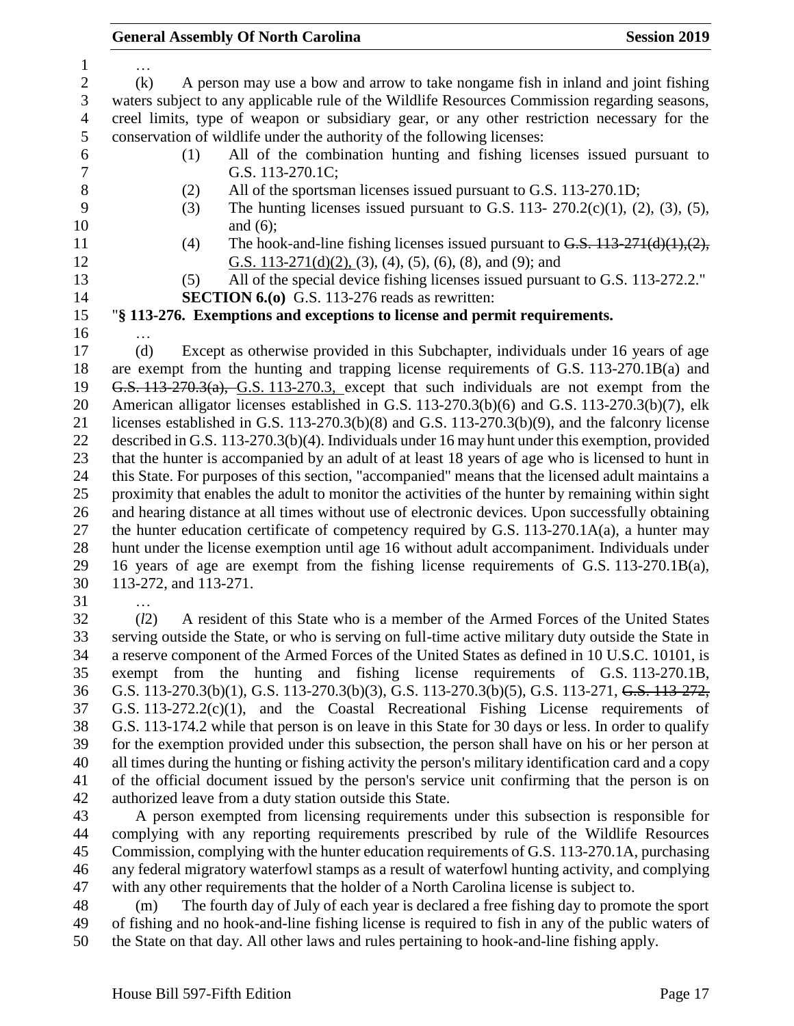… (k) A person may use a bow and arrow to take nongame fish in inland and joint fishing waters subject to any applicable rule of the Wildlife Resources Commission regarding seasons, creel limits, type of weapon or subsidiary gear, or any other restriction necessary for the conservation of wildlife under the authority of the following licenses: (1) All of the combination hunting and fishing licenses issued pursuant to G.S. 113-270.1C; (2) All of the sportsman licenses issued pursuant to G.S. 113-270.1D; (3) The hunting licenses issued pursuant to G.S. 113- 270.2(c)(1), (2), (3), (5), 10 and (6); 11 (4) The hook-and-line fishing licenses issued pursuant to  $G.S.$   $113-271(d)(1),(2)$ , G.S. 113-271(d)(2), (3), (4), (5), (6), (8), and (9); and (5) All of the special device fishing licenses issued pursuant to G.S. 113-272.2." **SECTION 6.(o)** G.S. 113-276 reads as rewritten: "**§ 113-276. Exemptions and exceptions to license and permit requirements.** … (d) Except as otherwise provided in this Subchapter, individuals under 16 years of age are exempt from the hunting and trapping license requirements of G.S. 113-270.1B(a) and G.S. 113-270.3(a), G.S. 113-270.3, except that such individuals are not exempt from the American alligator licenses established in G.S. 113-270.3(b)(6) and G.S. 113-270.3(b)(7), elk licenses established in G.S. 113-270.3(b)(8) and G.S. 113-270.3(b)(9), and the falconry license described in G.S. 113-270.3(b)(4). Individuals under 16 may hunt under this exemption, provided that the hunter is accompanied by an adult of at least 18 years of age who is licensed to hunt in this State. For purposes of this section, "accompanied" means that the licensed adult maintains a proximity that enables the adult to monitor the activities of the hunter by remaining within sight and hearing distance at all times without use of electronic devices. Upon successfully obtaining 27 the hunter education certificate of competency required by G.S. 113-270.1A(a), a hunter may hunt under the license exemption until age 16 without adult accompaniment. Individuals under 16 years of age are exempt from the fishing license requirements of G.S. 113-270.1B(a), 113-272, and 113-271. … (*l*2) A resident of this State who is a member of the Armed Forces of the United States serving outside the State, or who is serving on full-time active military duty outside the State in a reserve component of the Armed Forces of the United States as defined in 10 U.S.C. 10101, is

 exempt from the hunting and fishing license requirements of G.S. 113-270.1B, G.S. 113-270.3(b)(1), G.S. 113-270.3(b)(3), G.S. 113-270.3(b)(5), G.S. 113-271, G.S. 113-272, G.S. 113-272.2(c)(1), and the Coastal Recreational Fishing License requirements of G.S. 113-174.2 while that person is on leave in this State for 30 days or less. In order to qualify for the exemption provided under this subsection, the person shall have on his or her person at all times during the hunting or fishing activity the person's military identification card and a copy of the official document issued by the person's service unit confirming that the person is on authorized leave from a duty station outside this State.

 A person exempted from licensing requirements under this subsection is responsible for complying with any reporting requirements prescribed by rule of the Wildlife Resources Commission, complying with the hunter education requirements of G.S. 113-270.1A, purchasing any federal migratory waterfowl stamps as a result of waterfowl hunting activity, and complying with any other requirements that the holder of a North Carolina license is subject to.

 (m) The fourth day of July of each year is declared a free fishing day to promote the sport of fishing and no hook-and-line fishing license is required to fish in any of the public waters of the State on that day. All other laws and rules pertaining to hook-and-line fishing apply.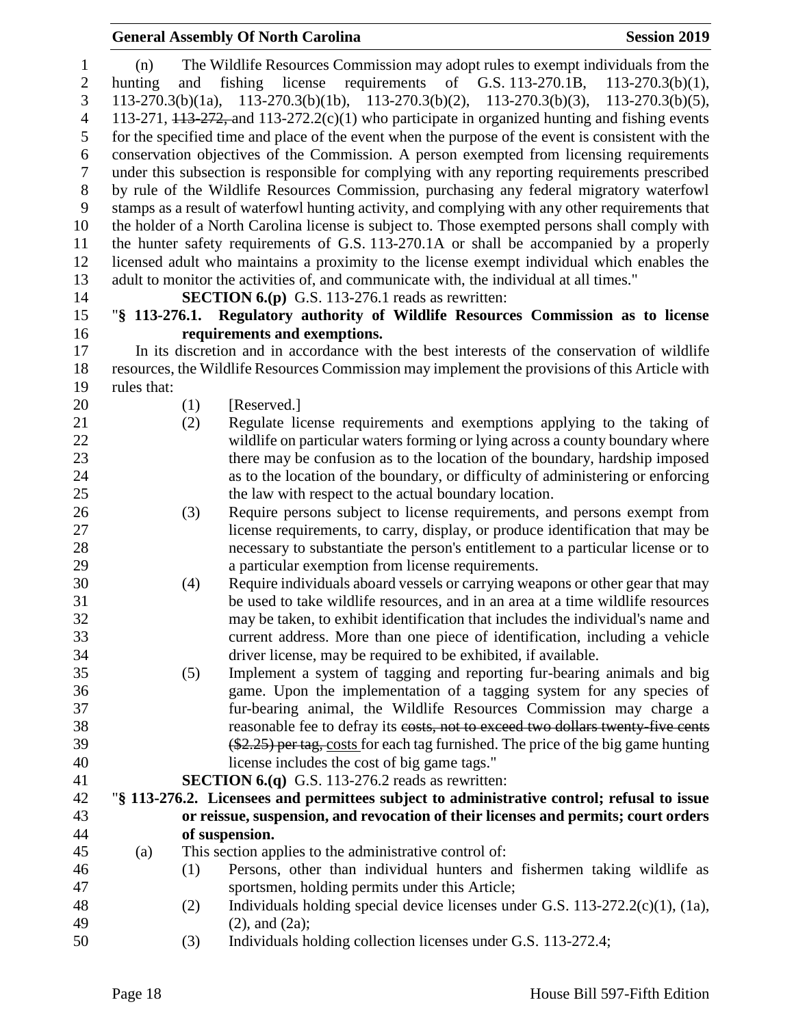| $\mathbf{1}$     | (n)         | The Wildlife Resources Commission may adopt rules to exempt individuals from the                      |
|------------------|-------------|-------------------------------------------------------------------------------------------------------|
| $\mathbf{2}$     | hunting     | fishing<br>license<br>requirements of G.S. 113-270.1B,<br>$113 - 270.3(b)(1)$ ,<br>and                |
| 3                |             | $113-270.3(b)(1a)$ , $113-270.3(b)(1b)$ , $113-270.3(b)(2)$ , $113-270.3(b)(3)$ , $113-270.3(b)(5)$ , |
| $\overline{4}$   |             | 113-271, $113-272$ , and $113-272.2(c)(1)$ who participate in organized hunting and fishing events    |
| 5                |             | for the specified time and place of the event when the purpose of the event is consistent with the    |
| 6                |             | conservation objectives of the Commission. A person exempted from licensing requirements              |
| $\boldsymbol{7}$ |             | under this subsection is responsible for complying with any reporting requirements prescribed         |
| $8\,$            |             | by rule of the Wildlife Resources Commission, purchasing any federal migratory waterfowl              |
| 9                |             | stamps as a result of waterfowl hunting activity, and complying with any other requirements that      |
| 10               |             | the holder of a North Carolina license is subject to. Those exempted persons shall comply with        |
| 11               |             | the hunter safety requirements of G.S. 113-270.1A or shall be accompanied by a properly               |
| 12               |             | licensed adult who maintains a proximity to the license exempt individual which enables the           |
| 13               |             | adult to monitor the activities of, and communicate with, the individual at all times."               |
|                  |             |                                                                                                       |
| 14               |             | <b>SECTION 6.(p)</b> G.S. 113-276.1 reads as rewritten:                                               |
| 15               |             | "§ 113-276.1. Regulatory authority of Wildlife Resources Commission as to license                     |
| 16               |             | requirements and exemptions.                                                                          |
| 17               |             | In its discretion and in accordance with the best interests of the conservation of wildlife           |
| 18               |             | resources, the Wildlife Resources Commission may implement the provisions of this Article with        |
| 19               | rules that: |                                                                                                       |
| 20               |             | [Reserved.]<br>(1)                                                                                    |
| 21               |             | Regulate license requirements and exemptions applying to the taking of<br>(2)                         |
| 22               |             | wildlife on particular waters forming or lying across a county boundary where                         |
| 23               |             | there may be confusion as to the location of the boundary, hardship imposed                           |
| 24               |             | as to the location of the boundary, or difficulty of administering or enforcing                       |
| 25               |             | the law with respect to the actual boundary location.                                                 |
| 26               |             | (3)<br>Require persons subject to license requirements, and persons exempt from                       |
| 27               |             | license requirements, to carry, display, or produce identification that may be                        |
| 28               |             | necessary to substantiate the person's entitlement to a particular license or to                      |
| 29               |             | a particular exemption from license requirements.                                                     |
| 30               |             | Require individuals aboard vessels or carrying weapons or other gear that may<br>(4)                  |
| 31               |             | be used to take wildlife resources, and in an area at a time wildlife resources                       |
| 32               |             | may be taken, to exhibit identification that includes the individual's name and                       |
| 33               |             | current address. More than one piece of identification, including a vehicle                           |
| 34               |             | driver license, may be required to be exhibited, if available.                                        |
| 35               |             | Implement a system of tagging and reporting fur-bearing animals and big<br>(5)                        |
| 36               |             | game. Upon the implementation of a tagging system for any species of                                  |
| 37               |             | fur-bearing animal, the Wildlife Resources Commission may charge a                                    |
| 38               |             | reasonable fee to defray its costs, not to exceed two dollars twenty five cents                       |
| 39               |             | $(*2.25)$ per tag, costs for each tag furnished. The price of the big game hunting                    |
| 40               |             | license includes the cost of big game tags."                                                          |
| 41               |             | <b>SECTION 6.(q)</b> G.S. 113-276.2 reads as rewritten:                                               |
| 42               |             | "§ 113-276.2. Licensees and permittees subject to administrative control; refusal to issue            |
| 43               |             | or reissue, suspension, and revocation of their licenses and permits; court orders                    |
|                  |             |                                                                                                       |
| 44<br>45         |             | of suspension.                                                                                        |
|                  | (a)         | This section applies to the administrative control of:                                                |
| 46               |             | Persons, other than individual hunters and fishermen taking wildlife as<br>(1)                        |
| 47               |             | sportsmen, holding permits under this Article;                                                        |
| 48               |             | Individuals holding special device licenses under G.S. $113-272.2(c)(1)$ , $(1a)$ ,<br>(2)            |
| 49               |             | $(2)$ , and $(2a)$ ;                                                                                  |
| 50               |             | (3)<br>Individuals holding collection licenses under G.S. 113-272.4;                                  |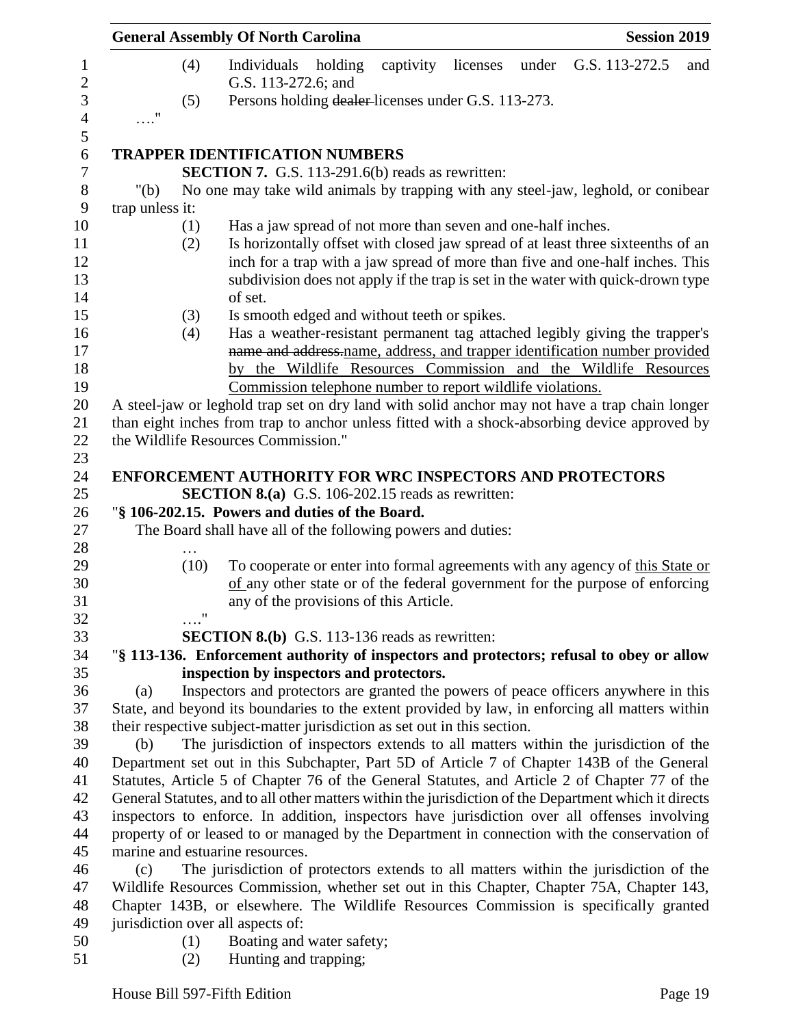|                 |                    | <b>General Assembly Of North Carolina</b>                                                             |         |           |          |       |                                                                                                                                                                   | <b>Session 2019</b> |
|-----------------|--------------------|-------------------------------------------------------------------------------------------------------|---------|-----------|----------|-------|-------------------------------------------------------------------------------------------------------------------------------------------------------------------|---------------------|
|                 | (4)                | Individuals<br>G.S. 113-272.6; and                                                                    | holding | captivity | licenses | under | G.S. 113-272.5                                                                                                                                                    | and                 |
|                 | (5)                | Persons holding dealer-licenses under G.S. 113-273.                                                   |         |           |          |       |                                                                                                                                                                   |                     |
| $\ldots$ "      |                    |                                                                                                       |         |           |          |       |                                                                                                                                                                   |                     |
|                 |                    |                                                                                                       |         |           |          |       |                                                                                                                                                                   |                     |
|                 |                    | <b>TRAPPER IDENTIFICATION NUMBERS</b>                                                                 |         |           |          |       |                                                                                                                                                                   |                     |
|                 |                    | <b>SECTION 7.</b> G.S. 113-291.6(b) reads as rewritten:                                               |         |           |          |       |                                                                                                                                                                   |                     |
| " $(b)$         |                    | No one may take wild animals by trapping with any steel-jaw, leghold, or conibear                     |         |           |          |       |                                                                                                                                                                   |                     |
| trap unless it: |                    |                                                                                                       |         |           |          |       |                                                                                                                                                                   |                     |
|                 | (1)                | Has a jaw spread of not more than seven and one-half inches.                                          |         |           |          |       |                                                                                                                                                                   |                     |
|                 | (2)                |                                                                                                       |         |           |          |       | Is horizontally offset with closed jaw spread of at least three sixteenths of an<br>inch for a trap with a jaw spread of more than five and one-half inches. This |                     |
|                 |                    |                                                                                                       |         |           |          |       | subdivision does not apply if the trap is set in the water with quick-drown type                                                                                  |                     |
|                 |                    | of set.                                                                                               |         |           |          |       |                                                                                                                                                                   |                     |
|                 | (3)                | Is smooth edged and without teeth or spikes.                                                          |         |           |          |       |                                                                                                                                                                   |                     |
|                 | (4)                |                                                                                                       |         |           |          |       | Has a weather-resistant permanent tag attached legibly giving the trapper's                                                                                       |                     |
|                 |                    |                                                                                                       |         |           |          |       | name and address-name, address, and trapper identification number provided                                                                                        |                     |
|                 |                    |                                                                                                       |         |           |          |       | by the Wildlife Resources Commission and the Wildlife Resources                                                                                                   |                     |
|                 |                    | Commission telephone number to report wildlife violations.                                            |         |           |          |       |                                                                                                                                                                   |                     |
|                 |                    | A steel-jaw or leghold trap set on dry land with solid anchor may not have a trap chain longer        |         |           |          |       |                                                                                                                                                                   |                     |
|                 |                    | than eight inches from trap to anchor unless fitted with a shock-absorbing device approved by         |         |           |          |       |                                                                                                                                                                   |                     |
|                 |                    | the Wildlife Resources Commission."                                                                   |         |           |          |       |                                                                                                                                                                   |                     |
|                 |                    |                                                                                                       |         |           |          |       |                                                                                                                                                                   |                     |
|                 |                    | <b>ENFORCEMENT AUTHORITY FOR WRC INSPECTORS AND PROTECTORS</b>                                        |         |           |          |       |                                                                                                                                                                   |                     |
|                 |                    | <b>SECTION 8.(a)</b> G.S. 106-202.15 reads as rewritten:                                              |         |           |          |       |                                                                                                                                                                   |                     |
|                 |                    | "§ 106-202.15. Powers and duties of the Board.                                                        |         |           |          |       |                                                                                                                                                                   |                     |
|                 |                    | The Board shall have all of the following powers and duties:                                          |         |           |          |       |                                                                                                                                                                   |                     |
|                 | (10)               |                                                                                                       |         |           |          |       | To cooperate or enter into formal agreements with any agency of this State or                                                                                     |                     |
|                 |                    |                                                                                                       |         |           |          |       | of any other state or of the federal government for the purpose of enforcing                                                                                      |                     |
|                 |                    | any of the provisions of this Article.                                                                |         |           |          |       |                                                                                                                                                                   |                     |
|                 | $\pmb{\mathsf{H}}$ |                                                                                                       |         |           |          |       |                                                                                                                                                                   |                     |
|                 |                    | <b>SECTION 8.(b)</b> G.S. 113-136 reads as rewritten:                                                 |         |           |          |       |                                                                                                                                                                   |                     |
|                 |                    | "§ 113-136. Enforcement authority of inspectors and protectors; refusal to obey or allow              |         |           |          |       |                                                                                                                                                                   |                     |
|                 |                    | inspection by inspectors and protectors.                                                              |         |           |          |       |                                                                                                                                                                   |                     |
| (a)             |                    | Inspectors and protectors are granted the powers of peace officers anywhere in this                   |         |           |          |       |                                                                                                                                                                   |                     |
|                 |                    | State, and beyond its boundaries to the extent provided by law, in enforcing all matters within       |         |           |          |       |                                                                                                                                                                   |                     |
|                 |                    | their respective subject-matter jurisdiction as set out in this section.                              |         |           |          |       |                                                                                                                                                                   |                     |
| (b)             |                    | The jurisdiction of inspectors extends to all matters within the jurisdiction of the                  |         |           |          |       |                                                                                                                                                                   |                     |
|                 |                    | Department set out in this Subchapter, Part 5D of Article 7 of Chapter 143B of the General            |         |           |          |       |                                                                                                                                                                   |                     |
|                 |                    | Statutes, Article 5 of Chapter 76 of the General Statutes, and Article 2 of Chapter 77 of the         |         |           |          |       |                                                                                                                                                                   |                     |
|                 |                    | General Statutes, and to all other matters within the jurisdiction of the Department which it directs |         |           |          |       |                                                                                                                                                                   |                     |
|                 |                    | inspectors to enforce. In addition, inspectors have jurisdiction over all offenses involving          |         |           |          |       |                                                                                                                                                                   |                     |
|                 |                    | property of or leased to or managed by the Department in connection with the conservation of          |         |           |          |       |                                                                                                                                                                   |                     |
|                 |                    | marine and estuarine resources.                                                                       |         |           |          |       |                                                                                                                                                                   |                     |
| (c)             |                    | The jurisdiction of protectors extends to all matters within the jurisdiction of the                  |         |           |          |       |                                                                                                                                                                   |                     |
|                 |                    | Wildlife Resources Commission, whether set out in this Chapter, Chapter 75A, Chapter 143,             |         |           |          |       |                                                                                                                                                                   |                     |
|                 |                    | Chapter 143B, or elsewhere. The Wildlife Resources Commission is specifically granted                 |         |           |          |       |                                                                                                                                                                   |                     |
|                 |                    | jurisdiction over all aspects of:                                                                     |         |           |          |       |                                                                                                                                                                   |                     |
|                 | (1)                | Boating and water safety;                                                                             |         |           |          |       |                                                                                                                                                                   |                     |
|                 | (2)                | Hunting and trapping;                                                                                 |         |           |          |       |                                                                                                                                                                   |                     |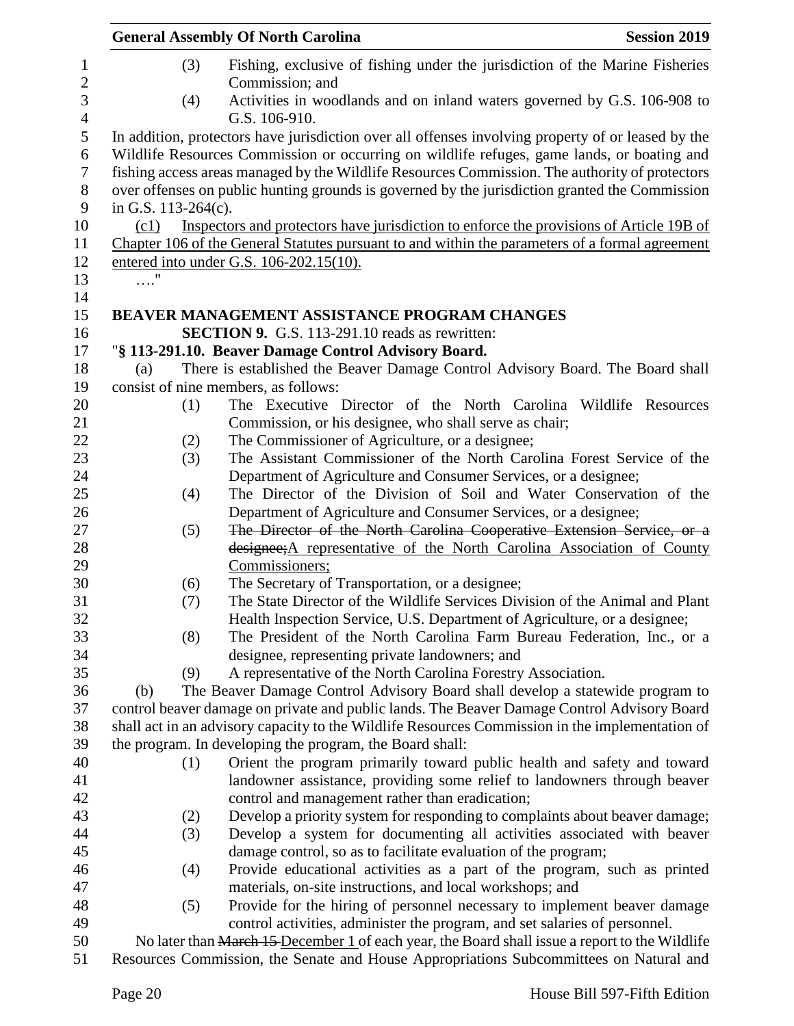|                        | <b>General Assembly Of North Carolina</b>                                                                                                                                                                                                                                                      | <b>Session 2019</b> |
|------------------------|------------------------------------------------------------------------------------------------------------------------------------------------------------------------------------------------------------------------------------------------------------------------------------------------|---------------------|
|                        | Fishing, exclusive of fishing under the jurisdiction of the Marine Fisheries<br>(3)<br>Commission; and                                                                                                                                                                                         |                     |
|                        | Activities in woodlands and on inland waters governed by G.S. 106-908 to<br>(4)<br>G.S. 106-910.                                                                                                                                                                                               |                     |
|                        | In addition, protectors have jurisdiction over all offenses involving property of or leased by the                                                                                                                                                                                             |                     |
| in G.S. $113-264(c)$ . | Wildlife Resources Commission or occurring on wildlife refuges, game lands, or boating and<br>fishing access areas managed by the Wildlife Resources Commission. The authority of protectors<br>over offenses on public hunting grounds is governed by the jurisdiction granted the Commission |                     |
| (c1)                   | Inspectors and protectors have jurisdiction to enforce the provisions of Article 19B of                                                                                                                                                                                                        |                     |
|                        | Chapter 106 of the General Statutes pursuant to and within the parameters of a formal agreement                                                                                                                                                                                                |                     |
|                        | entered into under G.S. 106-202.15(10).                                                                                                                                                                                                                                                        |                     |
| $\ldots$ "             |                                                                                                                                                                                                                                                                                                |                     |
|                        |                                                                                                                                                                                                                                                                                                |                     |
|                        | BEAVER MANAGEMENT ASSISTANCE PROGRAM CHANGES                                                                                                                                                                                                                                                   |                     |
|                        | <b>SECTION 9.</b> G.S. 113-291.10 reads as rewritten:                                                                                                                                                                                                                                          |                     |
|                        | "§ 113-291.10. Beaver Damage Control Advisory Board.                                                                                                                                                                                                                                           |                     |
| (a)                    | There is established the Beaver Damage Control Advisory Board. The Board shall                                                                                                                                                                                                                 |                     |
|                        | consist of nine members, as follows:                                                                                                                                                                                                                                                           |                     |
|                        | The Executive Director of the North Carolina<br>(1)                                                                                                                                                                                                                                            | Wildlife Resources  |
|                        | Commission, or his designee, who shall serve as chair;                                                                                                                                                                                                                                         |                     |
|                        | The Commissioner of Agriculture, or a designee;<br>(2)                                                                                                                                                                                                                                         |                     |
|                        | The Assistant Commissioner of the North Carolina Forest Service of the<br>(3)                                                                                                                                                                                                                  |                     |
|                        | Department of Agriculture and Consumer Services, or a designee;                                                                                                                                                                                                                                |                     |
|                        | The Director of the Division of Soil and Water Conservation of the<br>(4)                                                                                                                                                                                                                      |                     |
|                        | Department of Agriculture and Consumer Services, or a designee;                                                                                                                                                                                                                                |                     |
|                        | The Director of the North Carolina Cooperative Extension Service, or a<br>(5)                                                                                                                                                                                                                  |                     |
|                        | designee; A representative of the North Carolina Association of County                                                                                                                                                                                                                         |                     |
|                        | Commissioners;                                                                                                                                                                                                                                                                                 |                     |
|                        | (6)<br>The Secretary of Transportation, or a designee;                                                                                                                                                                                                                                         |                     |
|                        | The State Director of the Wildlife Services Division of the Animal and Plant<br>(7)                                                                                                                                                                                                            |                     |
|                        | Health Inspection Service, U.S. Department of Agriculture, or a designee;                                                                                                                                                                                                                      |                     |
|                        | The President of the North Carolina Farm Bureau Federation, Inc., or a<br>(8)                                                                                                                                                                                                                  |                     |
|                        | designee, representing private landowners; and                                                                                                                                                                                                                                                 |                     |
|                        | A representative of the North Carolina Forestry Association.<br>(9)                                                                                                                                                                                                                            |                     |
| (b)                    | The Beaver Damage Control Advisory Board shall develop a statewide program to                                                                                                                                                                                                                  |                     |
|                        | control beaver damage on private and public lands. The Beaver Damage Control Advisory Board                                                                                                                                                                                                    |                     |
|                        | shall act in an advisory capacity to the Wildlife Resources Commission in the implementation of                                                                                                                                                                                                |                     |
|                        | the program. In developing the program, the Board shall:                                                                                                                                                                                                                                       |                     |
|                        | Orient the program primarily toward public health and safety and toward<br>(1)                                                                                                                                                                                                                 |                     |
|                        | landowner assistance, providing some relief to landowners through beaver                                                                                                                                                                                                                       |                     |
|                        | control and management rather than eradication;                                                                                                                                                                                                                                                |                     |
|                        | Develop a priority system for responding to complaints about beaver damage;<br>(2)                                                                                                                                                                                                             |                     |
|                        | (3)<br>Develop a system for documenting all activities associated with beaver                                                                                                                                                                                                                  |                     |
|                        | damage control, so as to facilitate evaluation of the program;                                                                                                                                                                                                                                 |                     |
|                        | Provide educational activities as a part of the program, such as printed<br>(4)                                                                                                                                                                                                                |                     |
|                        | materials, on-site instructions, and local workshops; and                                                                                                                                                                                                                                      |                     |
|                        | (5)<br>Provide for the hiring of personnel necessary to implement beaver damage                                                                                                                                                                                                                |                     |
|                        | control activities, administer the program, and set salaries of personnel.                                                                                                                                                                                                                     |                     |
|                        | No later than March 15 December 1 of each year, the Board shall issue a report to the Wildlife                                                                                                                                                                                                 |                     |
|                        | Resources Commission, the Senate and House Appropriations Subcommittees on Natural and                                                                                                                                                                                                         |                     |
|                        |                                                                                                                                                                                                                                                                                                |                     |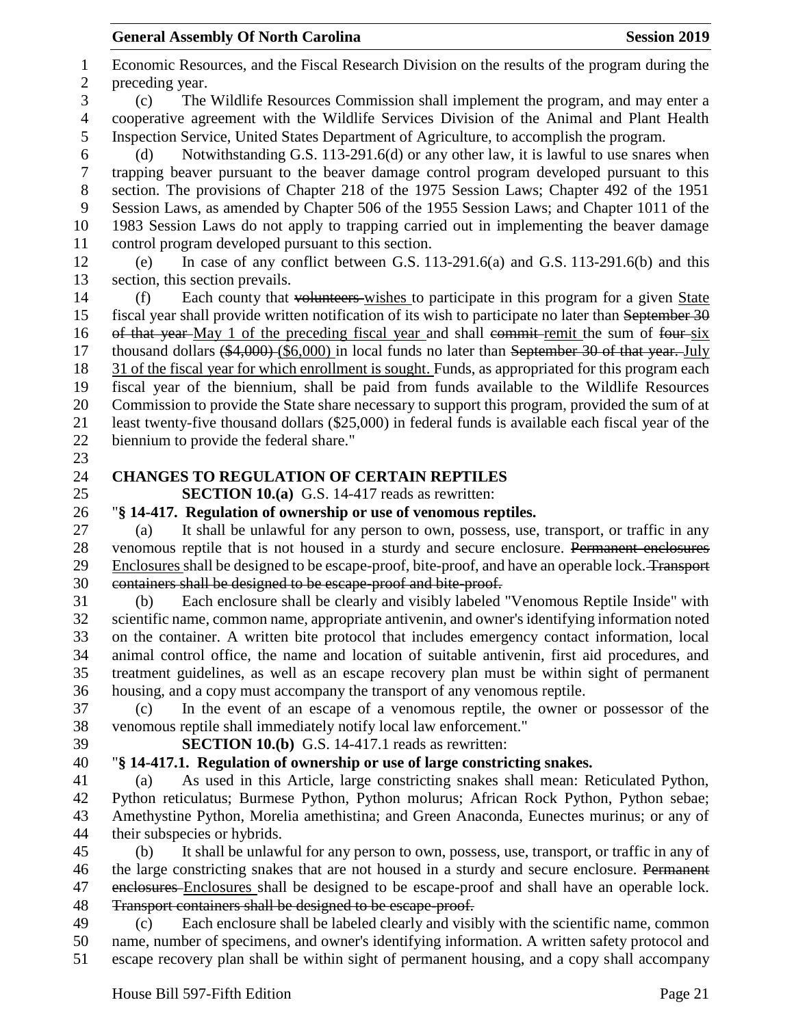Economic Resources, and the Fiscal Research Division on the results of the program during the preceding year. (c) The Wildlife Resources Commission shall implement the program, and may enter a cooperative agreement with the Wildlife Services Division of the Animal and Plant Health Inspection Service, United States Department of Agriculture, to accomplish the program. (d) Notwithstanding G.S. 113-291.6(d) or any other law, it is lawful to use snares when trapping beaver pursuant to the beaver damage control program developed pursuant to this section. The provisions of Chapter 218 of the 1975 Session Laws; Chapter 492 of the 1951 Session Laws, as amended by Chapter 506 of the 1955 Session Laws; and Chapter 1011 of the 1983 Session Laws do not apply to trapping carried out in implementing the beaver damage control program developed pursuant to this section. (e) In case of any conflict between G.S. 113-291.6(a) and G.S. 113-291.6(b) and this section, this section prevails. (f) Each county that volunteers wishes to participate in this program for a given State fiscal year shall provide written notification of its wish to participate no later than September 30 16 of that year-May 1 of the preceding fiscal year and shall commit-remit the sum of four-six 17 thousand dollars (\$4,000) (\$6,000) in local funds no later than September 30 of that year. July 31 of the fiscal year for which enrollment is sought. Funds, as appropriated for this program each fiscal year of the biennium, shall be paid from funds available to the Wildlife Resources Commission to provide the State share necessary to support this program, provided the sum of at least twenty-five thousand dollars (\$25,000) in federal funds is available each fiscal year of the biennium to provide the federal share." **CHANGES TO REGULATION OF CERTAIN REPTILES SECTION 10.(a)** G.S. 14-417 reads as rewritten: "**§ 14-417. Regulation of ownership or use of venomous reptiles.** (a) It shall be unlawful for any person to own, possess, use, transport, or traffic in any venomous reptile that is not housed in a sturdy and secure enclosure. Permanent enclosures Enclosures shall be designed to be escape-proof, bite-proof, and have an operable lock. Transport containers shall be designed to be escape-proof and bite-proof. (b) Each enclosure shall be clearly and visibly labeled "Venomous Reptile Inside" with scientific name, common name, appropriate antivenin, and owner's identifying information noted on the container. A written bite protocol that includes emergency contact information, local animal control office, the name and location of suitable antivenin, first aid procedures, and treatment guidelines, as well as an escape recovery plan must be within sight of permanent housing, and a copy must accompany the transport of any venomous reptile. (c) In the event of an escape of a venomous reptile, the owner or possessor of the venomous reptile shall immediately notify local law enforcement." **SECTION 10.(b)** G.S. 14-417.1 reads as rewritten: "**§ 14-417.1. Regulation of ownership or use of large constricting snakes.** (a) As used in this Article, large constricting snakes shall mean: Reticulated Python, Python reticulatus; Burmese Python, Python molurus; African Rock Python, Python sebae; Amethystine Python, Morelia amethistina; and Green Anaconda, Eunectes murinus; or any of their subspecies or hybrids. (b) It shall be unlawful for any person to own, possess, use, transport, or traffic in any of 46 the large constricting snakes that are not housed in a sturdy and secure enclosure. Permanent 47 enclosures Enclosures shall be designed to be escape-proof and shall have an operable lock. Transport containers shall be designed to be escape-proof. (c) Each enclosure shall be labeled clearly and visibly with the scientific name, common

 name, number of specimens, and owner's identifying information. A written safety protocol and escape recovery plan shall be within sight of permanent housing, and a copy shall accompany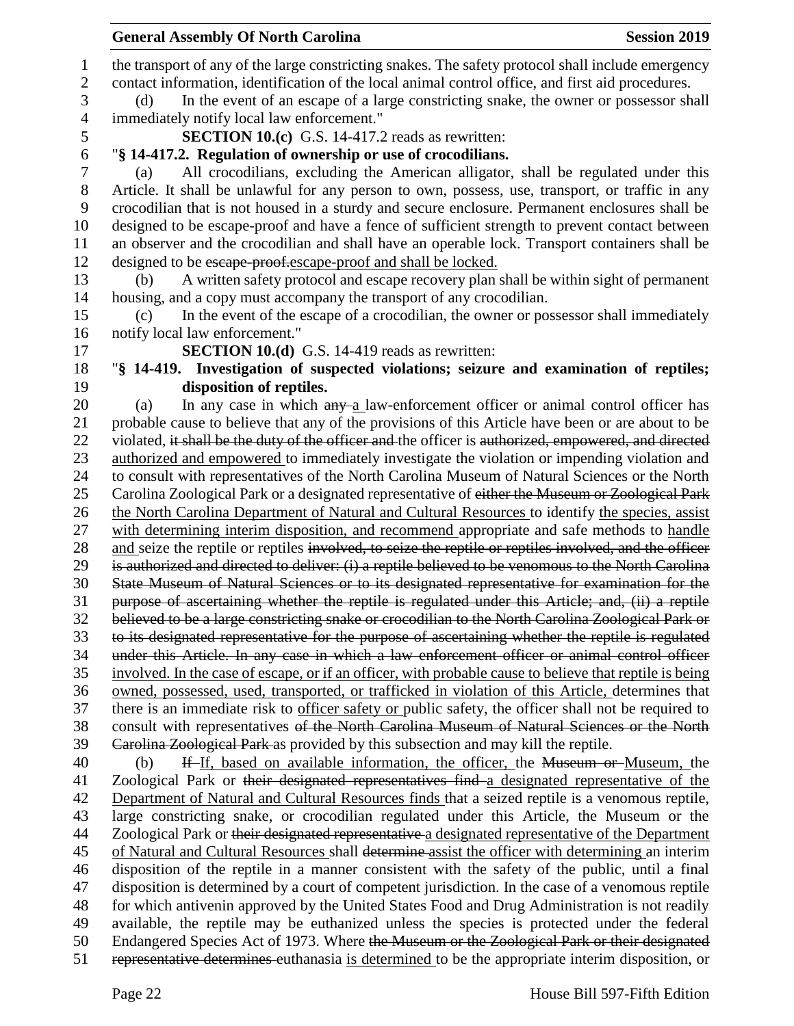| <b>General Assembly Of North Carolina</b><br><b>Session 2019</b>                                                                                                                                      |
|-------------------------------------------------------------------------------------------------------------------------------------------------------------------------------------------------------|
| the transport of any of the large constricting snakes. The safety protocol shall include emergency                                                                                                    |
| contact information, identification of the local animal control office, and first aid procedures.                                                                                                     |
| In the event of an escape of a large constricting snake, the owner or possessor shall<br>(d)                                                                                                          |
| immediately notify local law enforcement."                                                                                                                                                            |
| <b>SECTION 10.(c)</b> G.S. 14-417.2 reads as rewritten:                                                                                                                                               |
| "§ 14-417.2. Regulation of ownership or use of crocodilians.                                                                                                                                          |
| All crocodilians, excluding the American alligator, shall be regulated under this<br>(a)                                                                                                              |
| Article. It shall be unlawful for any person to own, possess, use, transport, or traffic in any                                                                                                       |
| crocodilian that is not housed in a sturdy and secure enclosure. Permanent enclosures shall be                                                                                                        |
| designed to be escape-proof and have a fence of sufficient strength to prevent contact between                                                                                                        |
| an observer and the crocodilian and shall have an operable lock. Transport containers shall be                                                                                                        |
| designed to be escape proof.escape-proof and shall be locked.                                                                                                                                         |
| A written safety protocol and escape recovery plan shall be within sight of permanent<br>(b)                                                                                                          |
| housing, and a copy must accompany the transport of any crocodilian.                                                                                                                                  |
| In the event of the escape of a crocodilian, the owner or possessor shall immediately<br>(c)                                                                                                          |
| notify local law enforcement."                                                                                                                                                                        |
| <b>SECTION 10.(d)</b> G.S. 14-419 reads as rewritten:                                                                                                                                                 |
| "§ 14-419. Investigation of suspected violations; seizure and examination of reptiles;                                                                                                                |
| disposition of reptiles.                                                                                                                                                                              |
| In any case in which any a law-enforcement officer or animal control officer has<br>(a)                                                                                                               |
| probable cause to believe that any of the provisions of this Article have been or are about to be                                                                                                     |
| violated, it shall be the duty of the officer and the officer is authorized, empowered, and directed                                                                                                  |
| authorized and empowered to immediately investigate the violation or impending violation and                                                                                                          |
| to consult with representatives of the North Carolina Museum of Natural Sciences or the North                                                                                                         |
| Carolina Zoological Park or a designated representative of either the Museum or Zoological Park                                                                                                       |
| the North Carolina Department of Natural and Cultural Resources to identify the species, assist                                                                                                       |
| with determining interim disposition, and recommend appropriate and safe methods to handle                                                                                                            |
| and seize the reptile or reptiles involved, to seize the reptile or reptiles involved, and the officer                                                                                                |
| is authorized and directed to deliver: (i) a reptile believed to be venomous to the North Carolina                                                                                                    |
| State Museum of Natural Sciences or to its designated representative for examination for the                                                                                                          |
| purpose of ascertaining whether the reptile is regulated under this Article; and, (ii) a reptile<br>believed to be a large constricting snake or crocodilian to the North Carolina Zoological Park or |
| to its designated representative for the purpose of ascertaining whether the reptile is regulated                                                                                                     |
| under this Article. In any case in which a law enforcement officer or animal control officer                                                                                                          |
| involved. In the case of escape, or if an officer, with probable cause to believe that reptile is being                                                                                               |
| owned, possessed, used, transported, or trafficked in violation of this Article, determines that                                                                                                      |
| there is an immediate risk to officer safety or public safety, the officer shall not be required to                                                                                                   |
| consult with representatives of the North Carolina Museum of Natural Sciences or the North                                                                                                            |
| Carolina Zoological Park as provided by this subsection and may kill the reptile.                                                                                                                     |
| If If, based on available information, the officer, the Museum or Museum, the<br>(b)                                                                                                                  |
| Zoological Park or their designated representatives find a designated representative of the                                                                                                           |
| Department of Natural and Cultural Resources finds that a seized reptile is a venomous reptile,                                                                                                       |
| large constricting snake, or crocodilian regulated under this Article, the Museum or the                                                                                                              |
| Zoological Park or their designated representative a designated representative of the Department                                                                                                      |
| of Natural and Cultural Resources shall determine assist the officer with determining an interim                                                                                                      |
| disposition of the reptile in a manner consistent with the safety of the public, until a final                                                                                                        |
| disposition is determined by a court of competent jurisdiction. In the case of a venomous reptile                                                                                                     |
| for which antivenin approved by the United States Food and Drug Administration is not readily                                                                                                         |
| available, the reptile may be euthanized unless the species is protected under the federal                                                                                                            |
| Endangered Species Act of 1973. Where the Museum or the Zoological Park or their designated                                                                                                           |
| representative determines euthanasia is determined to be the appropriate interim disposition, or                                                                                                      |
|                                                                                                                                                                                                       |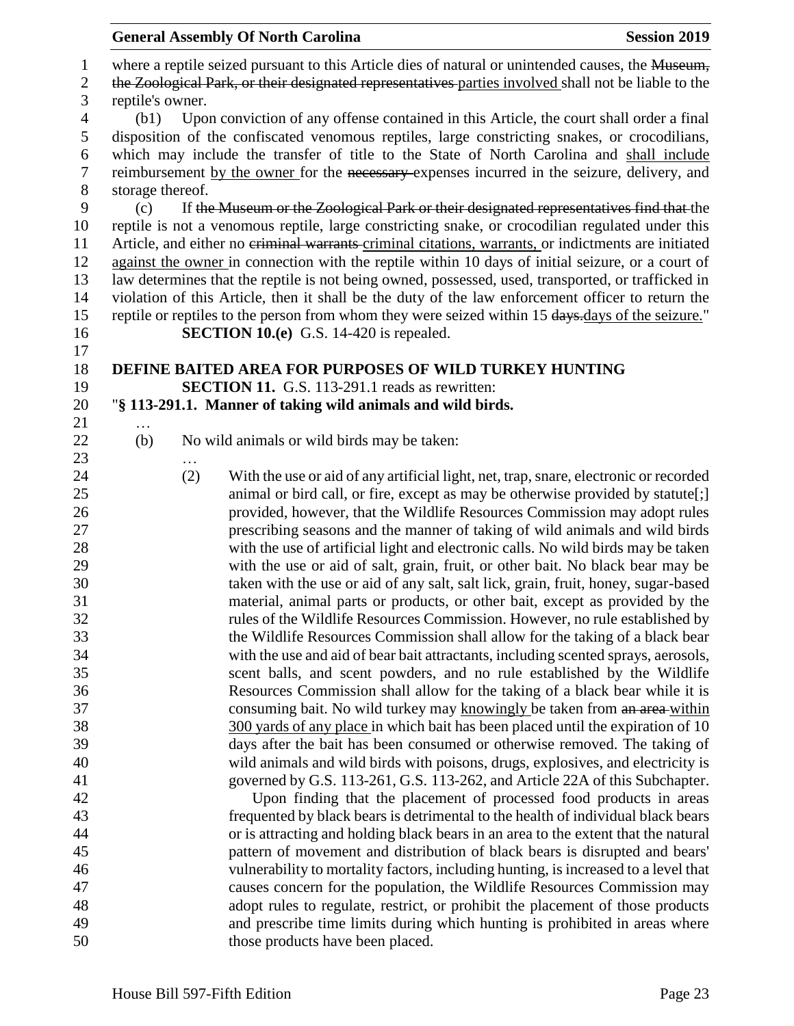|                                    |                          |          | <b>General Assembly Of North Carolina</b>                                                                                                                                                                                                                                                                                                                                                                                                                                                                                                                                                                         | <b>Session 2019</b> |
|------------------------------------|--------------------------|----------|-------------------------------------------------------------------------------------------------------------------------------------------------------------------------------------------------------------------------------------------------------------------------------------------------------------------------------------------------------------------------------------------------------------------------------------------------------------------------------------------------------------------------------------------------------------------------------------------------------------------|---------------------|
| $\mathbf{1}$<br>$\mathbf{2}$       |                          |          | where a reptile seized pursuant to this Article dies of natural or unintended causes, the Museum,<br>the Zoological Park, or their designated representatives parties involved shall not be liable to the                                                                                                                                                                                                                                                                                                                                                                                                         |                     |
| 3<br>$\overline{4}$<br>5<br>6<br>7 | reptile's owner.<br>(b1) |          | Upon conviction of any offense contained in this Article, the court shall order a final<br>disposition of the confiscated venomous reptiles, large constricting snakes, or crocodilians,<br>which may include the transfer of title to the State of North Carolina and shall include<br>reimbursement by the owner for the necessary expenses incurred in the seizure, delivery, and                                                                                                                                                                                                                              |                     |
| 8                                  | storage thereof.         |          |                                                                                                                                                                                                                                                                                                                                                                                                                                                                                                                                                                                                                   |                     |
| 9<br>10<br>11<br>12<br>13<br>14    | (c)                      |          | If the Museum or the Zoological Park or their designated representatives find that the<br>reptile is not a venomous reptile, large constricting snake, or crocodilian regulated under this<br>Article, and either no eriminal warrants-criminal citations, warrants, or indictments are initiated<br>against the owner in connection with the reptile within 10 days of initial seizure, or a court of<br>law determines that the reptile is not being owned, possessed, used, transported, or trafficked in<br>violation of this Article, then it shall be the duty of the law enforcement officer to return the |                     |
| 15                                 |                          |          | reptile or reptiles to the person from whom they were seized within 15 days.days of the seizure."                                                                                                                                                                                                                                                                                                                                                                                                                                                                                                                 |                     |
| 16<br>17                           |                          |          | <b>SECTION 10.(e)</b> G.S. 14-420 is repealed.                                                                                                                                                                                                                                                                                                                                                                                                                                                                                                                                                                    |                     |
| 18                                 |                          |          | DEFINE BAITED AREA FOR PURPOSES OF WILD TURKEY HUNTING                                                                                                                                                                                                                                                                                                                                                                                                                                                                                                                                                            |                     |
| 19                                 |                          |          | <b>SECTION 11.</b> G.S. 113-291.1 reads as rewritten:                                                                                                                                                                                                                                                                                                                                                                                                                                                                                                                                                             |                     |
| 20                                 |                          |          | "§ 113-291.1. Manner of taking wild animals and wild birds.                                                                                                                                                                                                                                                                                                                                                                                                                                                                                                                                                       |                     |
| 21                                 | $\ddotsc$                |          |                                                                                                                                                                                                                                                                                                                                                                                                                                                                                                                                                                                                                   |                     |
| 22<br>23                           | (b)                      | $\cdots$ | No wild animals or wild birds may be taken:                                                                                                                                                                                                                                                                                                                                                                                                                                                                                                                                                                       |                     |
| 24                                 |                          | (2)      | With the use or aid of any artificial light, net, trap, snare, electronic or recorded                                                                                                                                                                                                                                                                                                                                                                                                                                                                                                                             |                     |
| 25                                 |                          |          | animal or bird call, or fire, except as may be otherwise provided by statute[;]                                                                                                                                                                                                                                                                                                                                                                                                                                                                                                                                   |                     |
| 26                                 |                          |          | provided, however, that the Wildlife Resources Commission may adopt rules                                                                                                                                                                                                                                                                                                                                                                                                                                                                                                                                         |                     |
| 27                                 |                          |          | prescribing seasons and the manner of taking of wild animals and wild birds                                                                                                                                                                                                                                                                                                                                                                                                                                                                                                                                       |                     |
| 28<br>29                           |                          |          | with the use of artificial light and electronic calls. No wild birds may be taken                                                                                                                                                                                                                                                                                                                                                                                                                                                                                                                                 |                     |
| 30                                 |                          |          | with the use or aid of salt, grain, fruit, or other bait. No black bear may be<br>taken with the use or aid of any salt, salt lick, grain, fruit, honey, sugar-based                                                                                                                                                                                                                                                                                                                                                                                                                                              |                     |
| 31                                 |                          |          | material, animal parts or products, or other bait, except as provided by the                                                                                                                                                                                                                                                                                                                                                                                                                                                                                                                                      |                     |
| 32                                 |                          |          | rules of the Wildlife Resources Commission. However, no rule established by                                                                                                                                                                                                                                                                                                                                                                                                                                                                                                                                       |                     |
| 33                                 |                          |          | the Wildlife Resources Commission shall allow for the taking of a black bear                                                                                                                                                                                                                                                                                                                                                                                                                                                                                                                                      |                     |
| 34                                 |                          |          | with the use and aid of bear bait attractants, including scented sprays, aerosols,                                                                                                                                                                                                                                                                                                                                                                                                                                                                                                                                |                     |
| 35                                 |                          |          | scent balls, and scent powders, and no rule established by the Wildlife                                                                                                                                                                                                                                                                                                                                                                                                                                                                                                                                           |                     |
| 36                                 |                          |          | Resources Commission shall allow for the taking of a black bear while it is                                                                                                                                                                                                                                                                                                                                                                                                                                                                                                                                       |                     |
| 37                                 |                          |          | consuming bait. No wild turkey may knowingly be taken from an area-within                                                                                                                                                                                                                                                                                                                                                                                                                                                                                                                                         |                     |
| 38                                 |                          |          | 300 yards of any place in which bait has been placed until the expiration of 10                                                                                                                                                                                                                                                                                                                                                                                                                                                                                                                                   |                     |
| 39                                 |                          |          | days after the bait has been consumed or otherwise removed. The taking of                                                                                                                                                                                                                                                                                                                                                                                                                                                                                                                                         |                     |
| 40                                 |                          |          | wild animals and wild birds with poisons, drugs, explosives, and electricity is                                                                                                                                                                                                                                                                                                                                                                                                                                                                                                                                   |                     |
| 41                                 |                          |          | governed by G.S. 113-261, G.S. 113-262, and Article 22A of this Subchapter.                                                                                                                                                                                                                                                                                                                                                                                                                                                                                                                                       |                     |
| 42<br>43                           |                          |          | Upon finding that the placement of processed food products in areas<br>frequented by black bears is detrimental to the health of individual black bears                                                                                                                                                                                                                                                                                                                                                                                                                                                           |                     |
| 44                                 |                          |          | or is attracting and holding black bears in an area to the extent that the natural                                                                                                                                                                                                                                                                                                                                                                                                                                                                                                                                |                     |
| 45                                 |                          |          | pattern of movement and distribution of black bears is disrupted and bears'                                                                                                                                                                                                                                                                                                                                                                                                                                                                                                                                       |                     |
| 46                                 |                          |          | vulnerability to mortality factors, including hunting, is increased to a level that                                                                                                                                                                                                                                                                                                                                                                                                                                                                                                                               |                     |
| 47                                 |                          |          | causes concern for the population, the Wildlife Resources Commission may                                                                                                                                                                                                                                                                                                                                                                                                                                                                                                                                          |                     |
| 48                                 |                          |          | adopt rules to regulate, restrict, or prohibit the placement of those products                                                                                                                                                                                                                                                                                                                                                                                                                                                                                                                                    |                     |
| 49                                 |                          |          | and prescribe time limits during which hunting is prohibited in areas where                                                                                                                                                                                                                                                                                                                                                                                                                                                                                                                                       |                     |
| 50                                 |                          |          | those products have been placed.                                                                                                                                                                                                                                                                                                                                                                                                                                                                                                                                                                                  |                     |